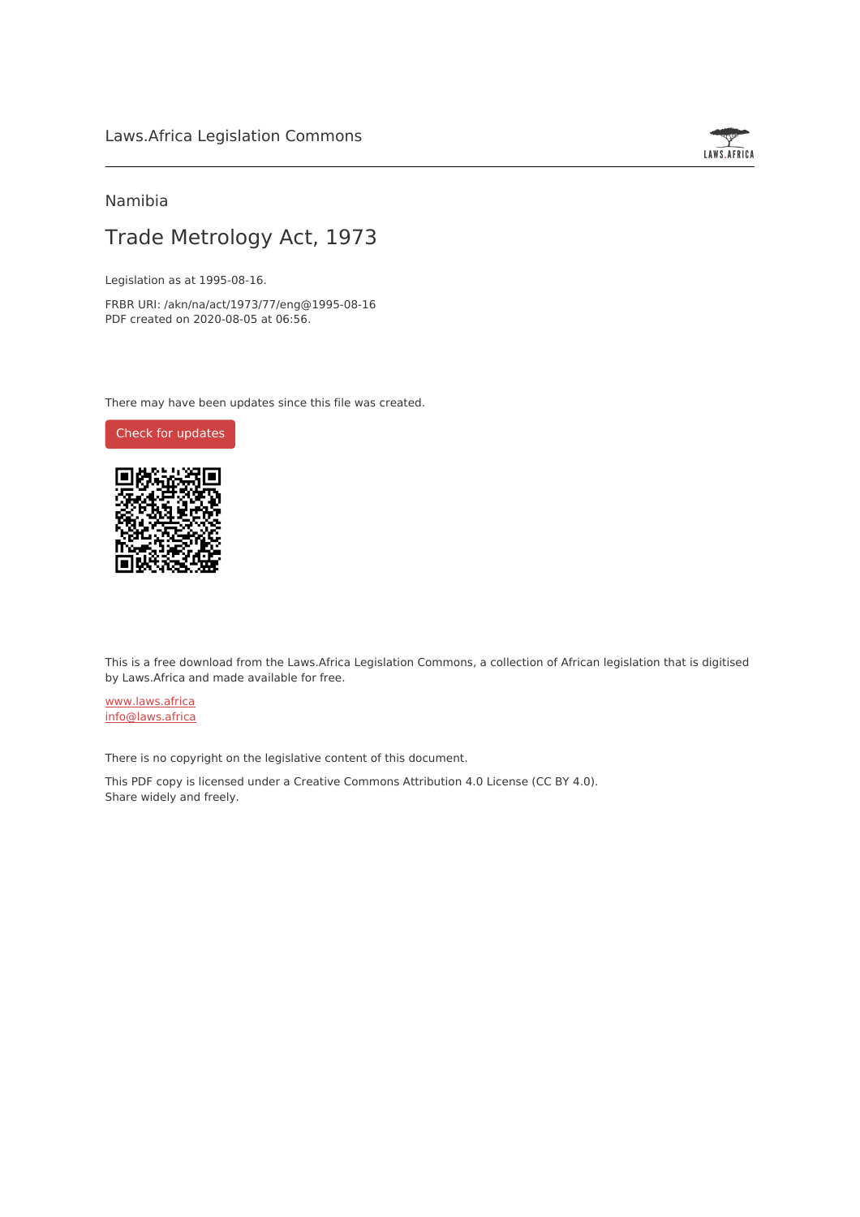

### Namibia

# Trade Metrology Act, 1973

Legislation as at 1995-08-16.

FRBR URI: /akn/na/act/1973/77/eng@1995-08-16 PDF created on 2020-08-05 at 06:56.

There may have been updates since this file was created.

Check for [updates](https://commons.laws.africa/akn/na/act/1973/77/eng@1995-08-16?ts=2020-08-05T06:56:28.572285+00:00)



This is a free download from the Laws.Africa Legislation Commons, a collection of African legislation that is digitised by Laws.Africa and made available for free.

[www.laws.africa](https://www.laws.africa) [info@laws.africa](mailto:info@laws.africa)

There is no copyright on the legislative content of this document.

This PDF copy is licensed under a Creative Commons Attribution 4.0 License (CC BY 4.0). Share widely and freely.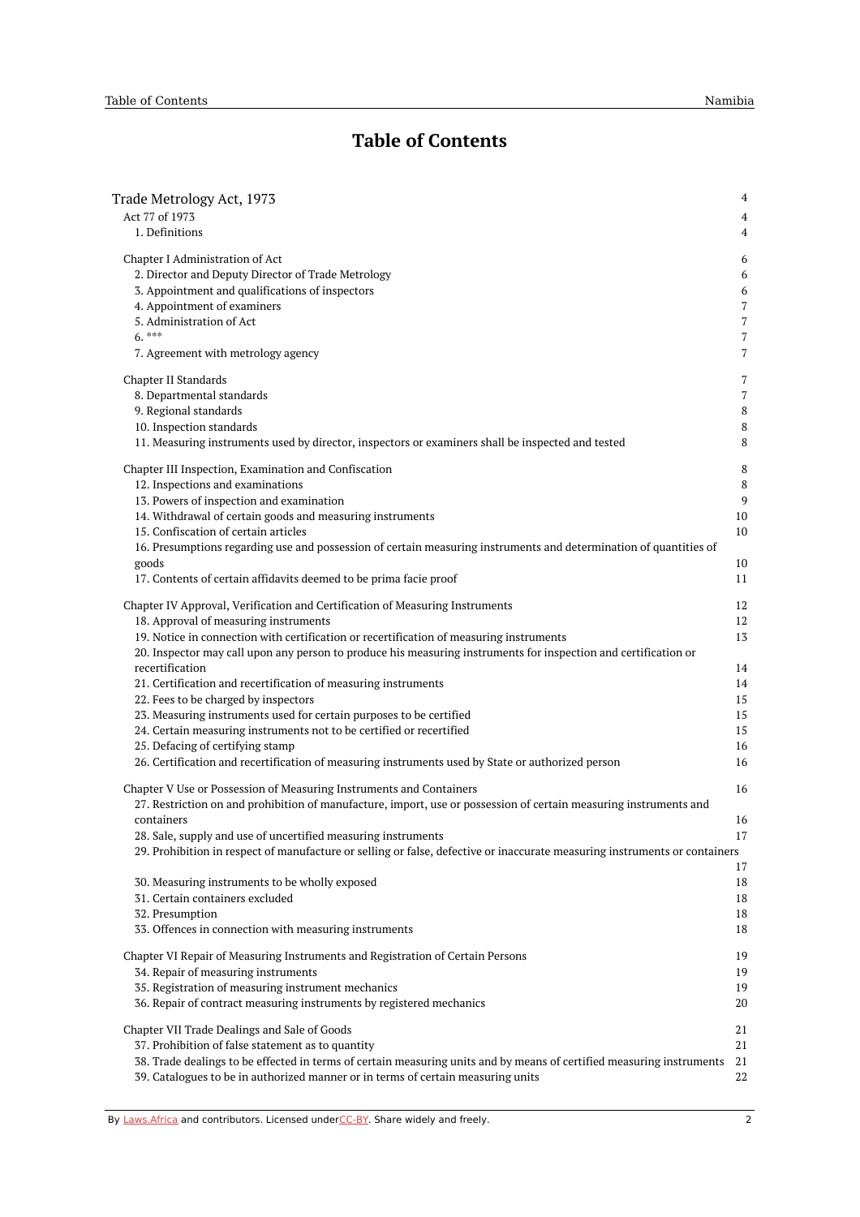# **Table of Contents**

| Trade Metrology Act, 1973                                                                                                                                                                                                                                                                                                                                                                                                                                                                                                            | 4                                      |
|--------------------------------------------------------------------------------------------------------------------------------------------------------------------------------------------------------------------------------------------------------------------------------------------------------------------------------------------------------------------------------------------------------------------------------------------------------------------------------------------------------------------------------------|----------------------------------------|
| Act 77 of 1973                                                                                                                                                                                                                                                                                                                                                                                                                                                                                                                       | 4                                      |
| 1. Definitions                                                                                                                                                                                                                                                                                                                                                                                                                                                                                                                       | 4                                      |
| Chapter I Administration of Act                                                                                                                                                                                                                                                                                                                                                                                                                                                                                                      | 6                                      |
| 2. Director and Deputy Director of Trade Metrology                                                                                                                                                                                                                                                                                                                                                                                                                                                                                   | 6                                      |
| 3. Appointment and qualifications of inspectors                                                                                                                                                                                                                                                                                                                                                                                                                                                                                      | 6                                      |
| 4. Appointment of examiners                                                                                                                                                                                                                                                                                                                                                                                                                                                                                                          | 7                                      |
| 5. Administration of Act                                                                                                                                                                                                                                                                                                                                                                                                                                                                                                             | 7                                      |
| $6.***$                                                                                                                                                                                                                                                                                                                                                                                                                                                                                                                              | $\overline{7}$                         |
| 7. Agreement with metrology agency                                                                                                                                                                                                                                                                                                                                                                                                                                                                                                   | 7                                      |
| Chapter II Standards                                                                                                                                                                                                                                                                                                                                                                                                                                                                                                                 | 7                                      |
| 8. Departmental standards                                                                                                                                                                                                                                                                                                                                                                                                                                                                                                            | $\overline{7}$                         |
| 9. Regional standards                                                                                                                                                                                                                                                                                                                                                                                                                                                                                                                | 8                                      |
| 10. Inspection standards                                                                                                                                                                                                                                                                                                                                                                                                                                                                                                             | 8                                      |
| 11. Measuring instruments used by director, inspectors or examiners shall be inspected and tested                                                                                                                                                                                                                                                                                                                                                                                                                                    | 8                                      |
| Chapter III Inspection, Examination and Confiscation<br>12. Inspections and examinations<br>13. Powers of inspection and examination<br>14. Withdrawal of certain goods and measuring instruments<br>15. Confiscation of certain articles<br>16. Presumptions regarding use and possession of certain measuring instruments and determination of quantities of<br>goods                                                                                                                                                              | 8<br>8<br>9<br>10<br>10<br>10          |
| 17. Contents of certain affidavits deemed to be prima facie proof                                                                                                                                                                                                                                                                                                                                                                                                                                                                    | 11                                     |
| Chapter IV Approval, Verification and Certification of Measuring Instruments                                                                                                                                                                                                                                                                                                                                                                                                                                                         | 12                                     |
| 18. Approval of measuring instruments                                                                                                                                                                                                                                                                                                                                                                                                                                                                                                | 12                                     |
| 19. Notice in connection with certification or recertification of measuring instruments                                                                                                                                                                                                                                                                                                                                                                                                                                              | 13                                     |
| 20. Inspector may call upon any person to produce his measuring instruments for inspection and certification or<br>recertification<br>21. Certification and recertification of measuring instruments<br>22. Fees to be charged by inspectors<br>23. Measuring instruments used for certain purposes to be certified<br>24. Certain measuring instruments not to be certified or recertified<br>25. Defacing of certifying stamp<br>26. Certification and recertification of measuring instruments used by State or authorized person | 14<br>14<br>15<br>15<br>15<br>16<br>16 |
| Chapter V Use or Possession of Measuring Instruments and Containers<br>27. Restriction on and prohibition of manufacture, import, use or possession of certain measuring instruments and<br>containers<br>28. Sale, supply and use of uncertified measuring instruments<br>29. Prohibition in respect of manufacture or selling or false, defective or inaccurate measuring instruments or containers                                                                                                                                | 16<br>16<br>17                         |
| 30. Measuring instruments to be wholly exposed<br>31. Certain containers excluded<br>32. Presumption<br>33. Offences in connection with measuring instruments                                                                                                                                                                                                                                                                                                                                                                        | 17<br>18<br>18<br>18<br>18             |
| Chapter VI Repair of Measuring Instruments and Registration of Certain Persons                                                                                                                                                                                                                                                                                                                                                                                                                                                       | 19                                     |
| 34. Repair of measuring instruments                                                                                                                                                                                                                                                                                                                                                                                                                                                                                                  | 19                                     |
| 35. Registration of measuring instrument mechanics                                                                                                                                                                                                                                                                                                                                                                                                                                                                                   | 19                                     |
| 36. Repair of contract measuring instruments by registered mechanics                                                                                                                                                                                                                                                                                                                                                                                                                                                                 | 20                                     |
| Chapter VII Trade Dealings and Sale of Goods                                                                                                                                                                                                                                                                                                                                                                                                                                                                                         | 21                                     |
| 37. Prohibition of false statement as to quantity                                                                                                                                                                                                                                                                                                                                                                                                                                                                                    | 21                                     |
| 38. Trade dealings to be effected in terms of certain measuring units and by means of certified measuring instruments                                                                                                                                                                                                                                                                                                                                                                                                                | 21                                     |
| 39. Catalogues to be in authorized manner or in terms of certain measuring units                                                                                                                                                                                                                                                                                                                                                                                                                                                     | 22                                     |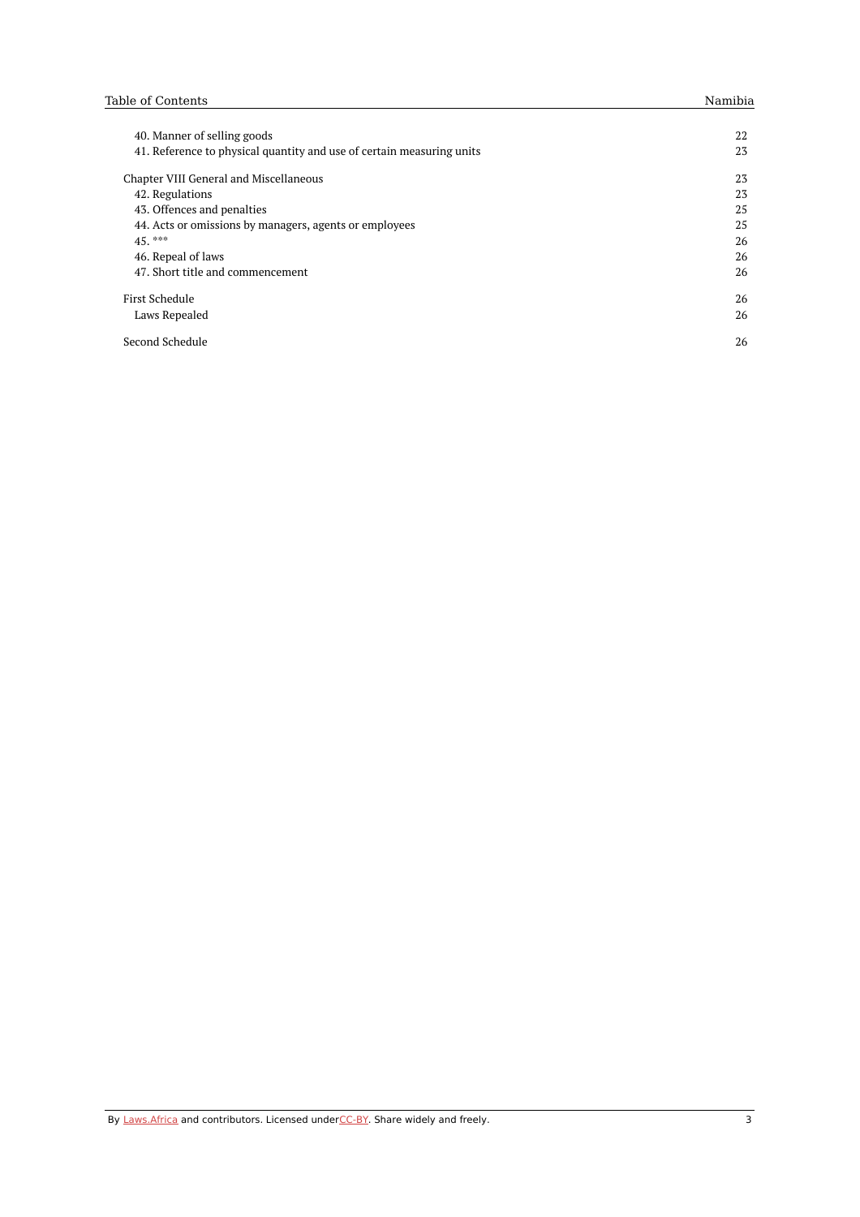| 40. Manner of selling goods                                           | 22 |
|-----------------------------------------------------------------------|----|
| 41. Reference to physical quantity and use of certain measuring units | 23 |
| Chapter VIII General and Miscellaneous                                | 23 |
| 42. Regulations                                                       | 23 |
| 43. Offences and penalties                                            | 25 |
| 44. Acts or omissions by managers, agents or employees                | 25 |
| $45.***$                                                              | 26 |
| 46. Repeal of laws                                                    | 26 |
| 47. Short title and commencement                                      | 26 |
| First Schedule                                                        | 26 |
| Laws Repealed                                                         | 26 |
| Second Schedule                                                       | 26 |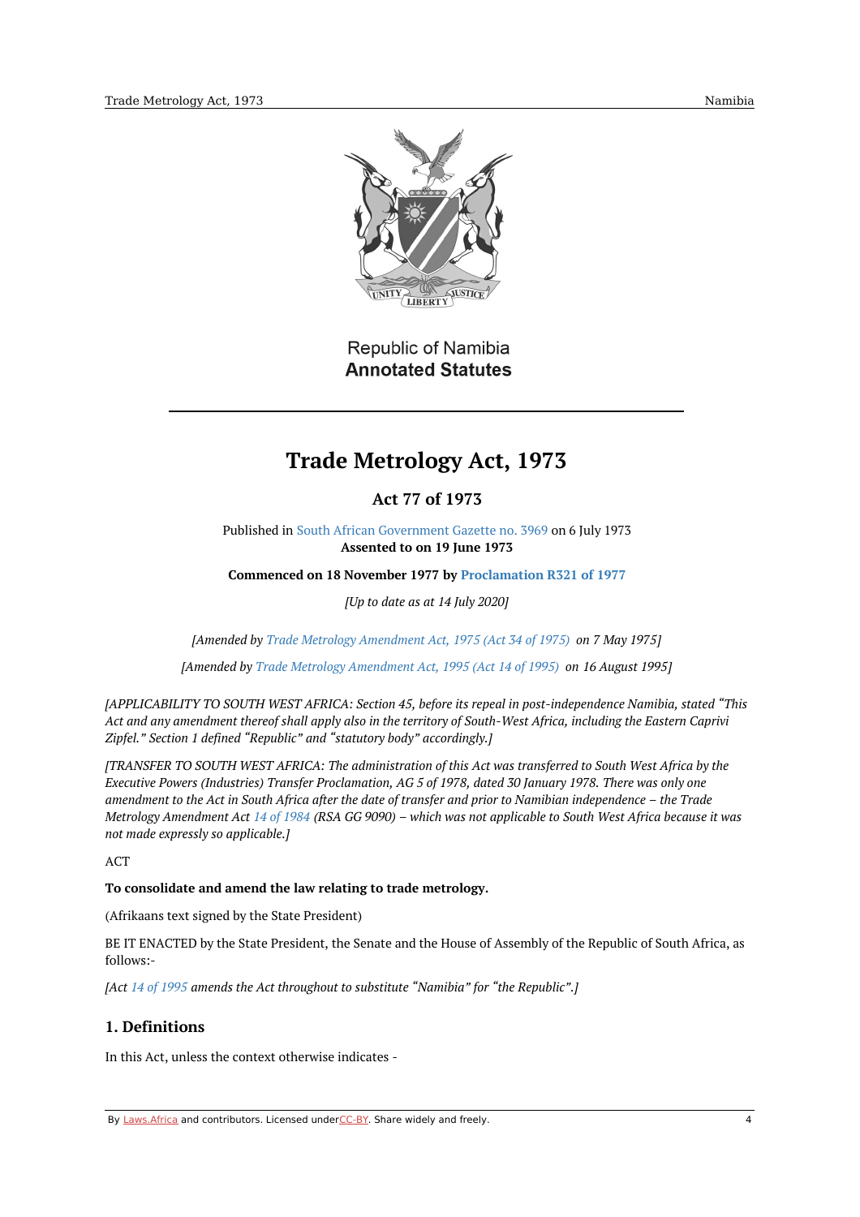

Republic of Namibia **Annotated Statutes** 

# **Trade Metrology Act, 1973**

# **Act 77 of 1973**

<span id="page-3-1"></span><span id="page-3-0"></span>Published in South African [Government](https://edit.laws.africa/works/akn/na/act/1973/77/media/publication/na-act-1973-77-publication-document.pdf) Gazette no. 3969 on 6 July 1973 **Assented to on 19 June 1973**

**Commenced on 18 November 1977 by [Proclamation](https://namiblii.org/akn/na/act/p/1977/r321) R321 of 1977**

*[Up to date as at 14 July 2020]*

*[Amended by Trade Metrology [Amendment](https://namiblii.org/akn/na/act/1975/34) Act, 1975 (Act 34 of 1975) on 7 May 1975]*

*[Amended by Trade Metrology [Amendment](https://namiblii.org/akn/na/act/1995/14) Act, 1995 (Act 14 of 1995) on 16 August 1995]*

*[APPLICABILITY TO SOUTH WEST AFRICA: Section 45, before its repeal in post-independence Namibia, stated "This* Act and any amendment thereof shall apply also in the territory of South-West Africa, including the Eastern Caprivi *Zipfel." Section 1 defined "Republic" and "statutory body" accordingly.]*

[TRANSFER TO SOUTH WEST AFRICA: The administration of this Act was transferred to South West Africa by the Executive Powers (Industries) Transfer Proclamation, AG 5 of 1978, dated 30 January 1978. There was only one amendment to the Act in South Africa after the date of transfer and prior to Namibian independence - the Trade Metrology Amendment Act 14 of [1984](https://namiblii.org/akn/na/act/1984/14) (RSA GG 9090) - which was not applicable to South West Africa because it was *not made expressly so applicable.]*

ACT

### **To consolidate and amend the law relating to trade metrology.**

(Afrikaans text signed by the State President)

BE IT ENACTED by the State President, the Senate and the House of Assembly of the Republic of South Africa, as follows:-

*[Act 14 of [1995](https://namiblii.org/akn/na/act/1995/14) amends the Act throughout to substitute "Namibia" for "the Republic".]*

# <span id="page-3-2"></span>**1. Definitions**

In this Act, unless the context otherwise indicates -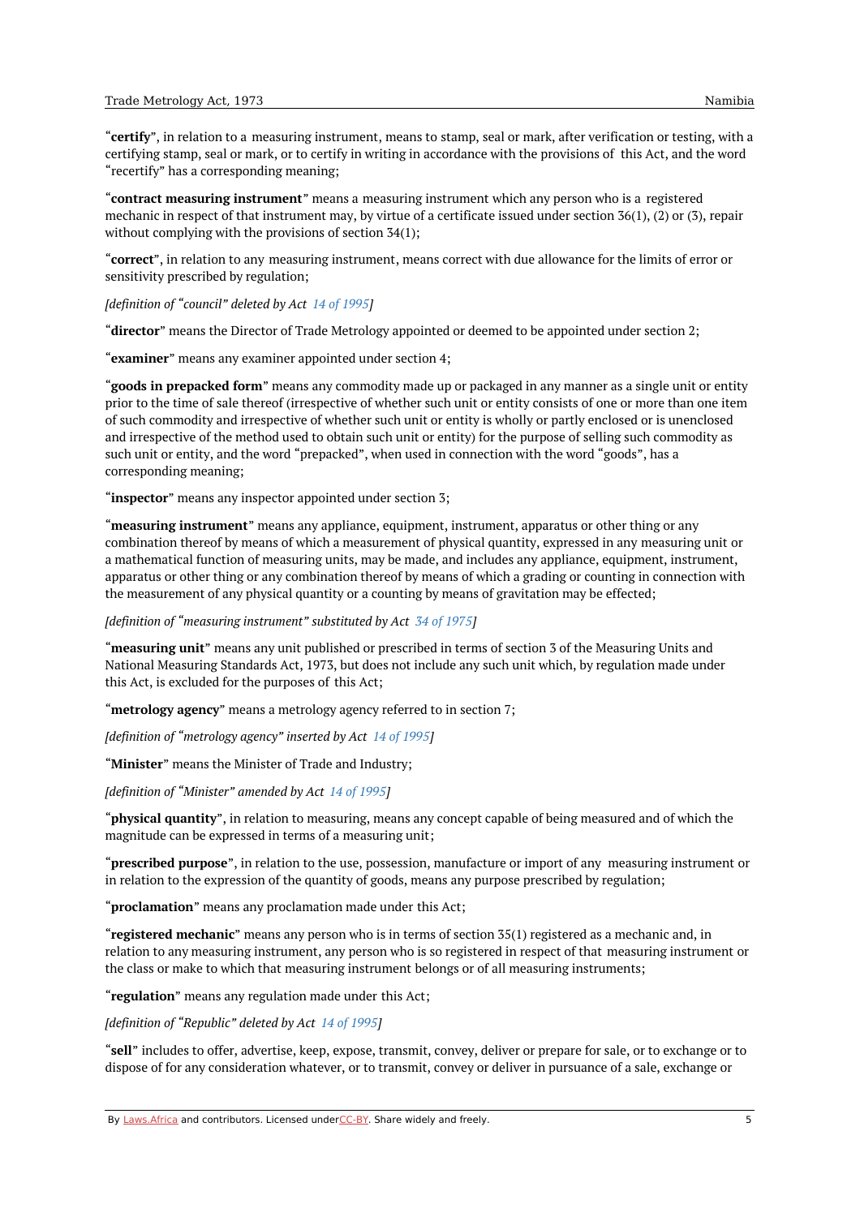"**certify**", in relation to a measuring instrument, means to stamp, seal or mark, after verification or testing, with a certifying stamp, seal or mark, or to certify in writing in accordance with the provisions of this Act, and the word "recertify" has a corresponding meaning;

"**contract measuring instrument**" means a measuring instrument which any person who is a registered mechanic in respect of that instrument may, by virtue of a certificate issued under section 36(1), (2) or (3), repair without complying with the provisions of section 34(1);

"**correct**", in relation to any measuring instrument, means correct with due allowance for the limits of error or sensitivity prescribed by regulation;

*[definition of "council" deleted by Act 14 of [1995](https://namiblii.org/akn/na/act/1995/14)]*

"**director**" means the Director of Trade Metrology appointed or deemed to be appointed under section 2;

"**examiner**" means any examiner appointed under section 4;

"**goods in prepacked form**" means any commodity made up or packaged in any manner as a single unit or entity prior to the time of sale thereof (irrespective of whether such unit or entity consists of one or more than one item of such commodity and irrespective of whether such unit or entity is wholly or partly enclosed or is unenclosed and irrespective of the method used to obtain such unit or entity) for the purpose of selling such commodity as such unit or entity, and the word "prepacked", when used in connection with the word "goods", has a corresponding meaning;

"**inspector**" means any inspector appointed under section 3;

"**measuring instrument**" means any appliance, equipment, instrument, apparatus or other thing or any combination thereof by means of which a measurement of physical quantity, expressed in any measuring unit or a mathematical function of measuring units, may be made, and includes any appliance, equipment, instrument, apparatus or other thing or any combination thereof by means of which a grading or counting in connection with the measurement of any physical quantity or a counting by means of gravitation may be effected;

*[definition of "measuring instrument" substituted by Act 34 of [1975](https://namiblii.org/akn/na/act/1975/34)]*

"**measuring unit**" means any unit published or prescribed in terms of section 3 of the Measuring Units and National Measuring Standards Act, 1973, but does not include any such unit which, by regulation made under this Act, is excluded for the purposes of this Act;

"**metrology agency**" means a metrology agency referred to in section 7;

*[definition of "metrology agency" inserted by Act 14 of [1995](https://namiblii.org/akn/na/act/1995/14)]*

"**Minister**" means the Minister of Trade and Industry;

*[definition of "Minister" amended by Act 14 of [1995](https://namiblii.org/akn/na/act/1995/14)]*

"**physical quantity**", in relation to measuring, means any concept capable of being measured and of which the magnitude can be expressed in terms of a measuring unit;

"**prescribed purpose**", in relation to the use, possession, manufacture or import of any measuring instrument or in relation to the expression of the quantity of goods, means any purpose prescribed by regulation;

"**proclamation**" means any proclamation made under this Act;

"**registered mechanic**" means any person who is in terms of section 35(1) registered as a mechanic and, in relation to any measuring instrument, any person who is so registered in respect of that measuring instrument or the class or make to which that measuring instrument belongs or of all measuring instruments;

"**regulation**" means any regulation made under this Act;

*[definition of "Republic" deleted by Act 14 of [1995](https://namiblii.org/akn/na/act/1995/14)]*

"**sell**" includes to offer, advertise, keep, expose, transmit, convey, deliver or prepare for sale, or to exchange or to dispose of for any consideration whatever, or to transmit, convey or deliver in pursuance of a sale, exchange or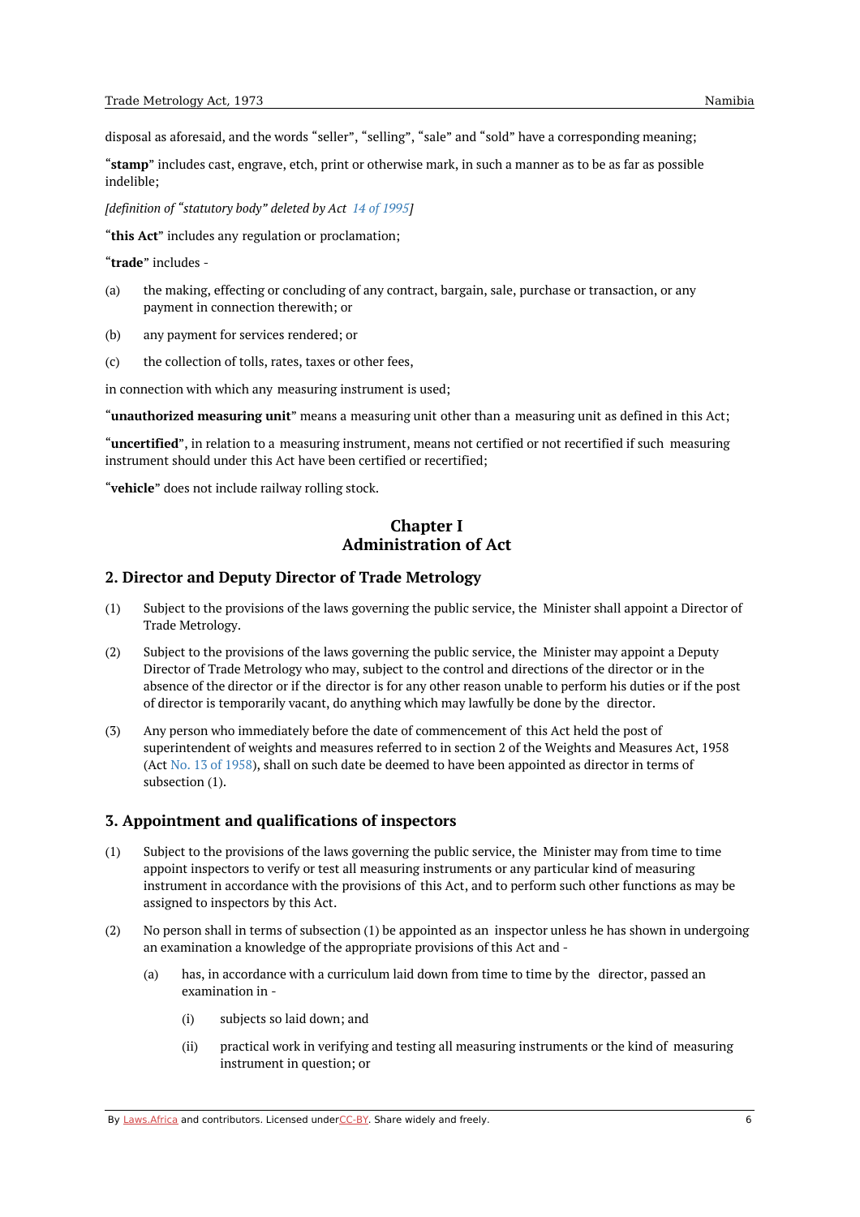disposal as aforesaid, and the words "seller", "selling", "sale" and "sold" have a corresponding meaning;

"**stamp**" includes cast, engrave, etch, print or otherwise mark, in such a manner as to be as far as possible indelible;

*[definition of "statutory body" deleted by Act 14 of [1995](https://namiblii.org/akn/na/act/1995/14)]*

"**this Act**" includes any regulation or proclamation;

"**trade**" includes -

- (a) the making, effecting or concluding of any contract, bargain, sale, purchase or transaction, or any payment in connection therewith; or
- (b) any payment for services rendered; or
- $\left( c \right)$ the collection of tolls, rates, taxes or other fees,

in connection with which any measuring instrument is used;

"**unauthorized measuring unit**" means a measuring unit other than a measuring unit as defined in this Act;

"**uncertified**", in relation to a measuring instrument, means not certified or not recertified if such measuring instrument should under this Act have been certified or recertified;

<span id="page-5-0"></span>"**vehicle**" does not include railway rolling stock.

### **Chapter I Administration of Act**

#### <span id="page-5-1"></span>**2. Director and Deputy Director of Trade Metrology**

- (1) Subject to the provisions of the laws governing the public service, the Minister shall appoint a Director of Trade Metrology.
- (2) Subject to the provisions of the laws governing the public service, the Minister may appoint a Deputy Director of Trade Metrology who may, subject to the control and directions of the director or in the absence of the director or if the director is for any other reason unable to perform his duties or if the post of director is temporarily vacant, do anything which may lawfully be done by the director.
- (3) Any person who immediately before the date of commencement of this Act held the post of superintendent of weights and measures referred to in section 2 of the Weights and Measures Act, 1958 (Act No. 13 of [1958](https://namiblii.org/akn/na/act/1958/13)), shall on such date be deemed to have been appointed as director in terms of subsection (1).

#### <span id="page-5-2"></span>**3. Appointment and qualifications of inspectors**

- (1) Subject to the provisions of the laws governing the public service, the Minister may from time to time appoint inspectors to verify or test all measuring instruments or any particular kind of measuring instrument in accordance with the provisions of this Act, and to perform such other functions as may be assigned to inspectors by this Act.
- (2) No person shall in terms of subsection (1) be appointed as an inspector unless he has shown in undergoing an examination a knowledge of the appropriate provisions of this Act and -
	- (a) has, in accordance with a curriculum laid down from time to time by the director, passed an examination in -
		- (i) subjects so laid down; and
		- (ii) practical work in verifying and testing all measuring instruments or the kind of measuring instrument in question; or

By [Laws.Africa](https://edit.laws.africa/widgets/pdf-attribution) and contributors. Licensed und[erCC-B](https://edit.laws.africa/widgets/pdf-cc-by)Y. Share widely and freely.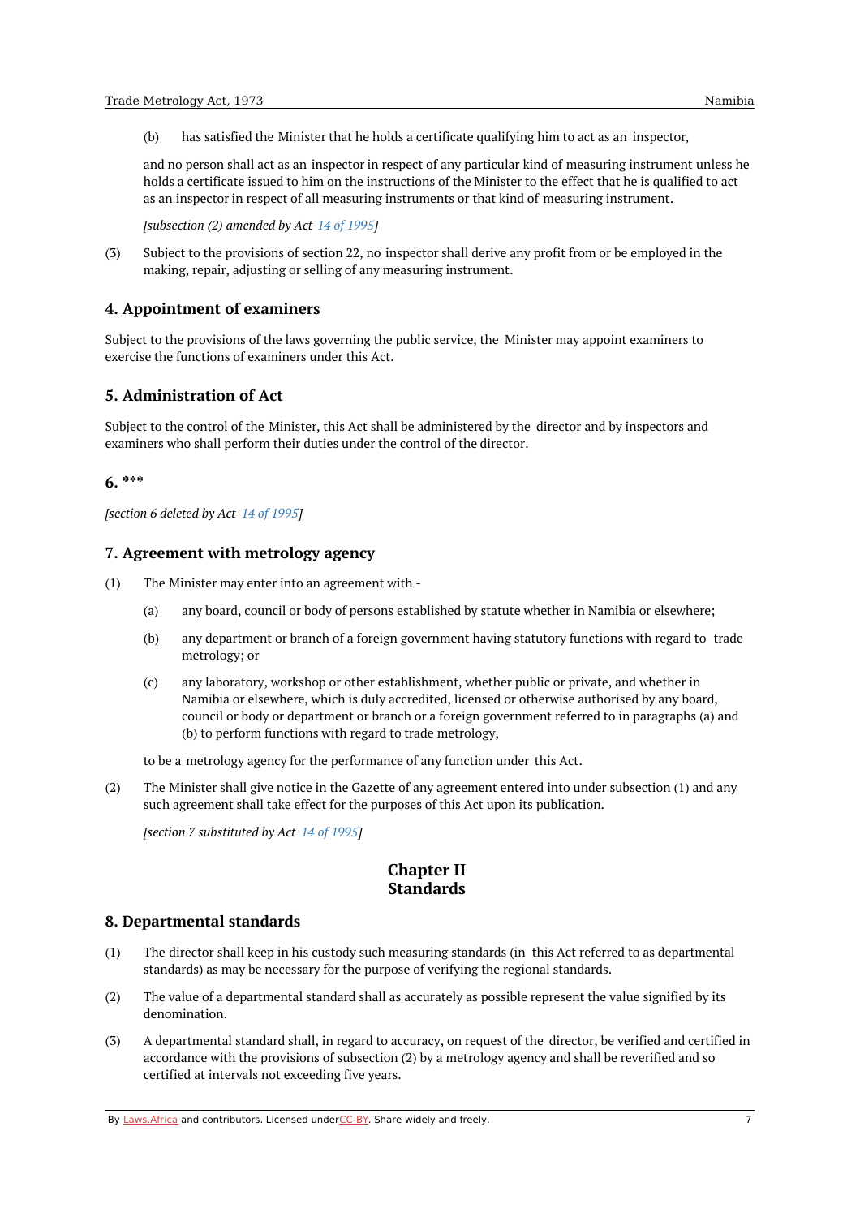(b) has satisfied the Minister that he holds a certificate qualifying him to act as an inspector,

and no person shall act as an inspector in respect of any particular kind of measuring instrument unless he holds a certificate issued to him on the instructions of the Minister to the effect that he is qualified to act as an inspector in respect of all measuring instruments or that kind of measuring instrument.

*[subsection (2) amended by Act 14 of [1995](https://namiblii.org/akn/na/act/1995/14)]*

(3) Subject to the provisions of section 22, no inspector shall derive any profit from or be employed in the making, repair, adjusting or selling of any measuring instrument.

### <span id="page-6-0"></span>**4. Appointment of examiners**

Subject to the provisions of the laws governing the public service, the Minister may appoint examiners to exercise the functions of examiners under this Act.

### <span id="page-6-1"></span>**5. Administration of Act**

Subject to the control of the Minister, this Act shall be administered by the director and by inspectors and examiners who shall perform their duties under the control of the director.

# <span id="page-6-2"></span>**6. \*\*\***

*[section 6 deleted by Act 14 of [1995](https://namiblii.org/akn/na/act/1995/14)]*

#### <span id="page-6-3"></span>**7. Agreement with metrology agency**

- (1) The Minister may enter into an agreement with -
	- (a) any board, council or body of persons established by statute whether in Namibia or elsewhere;
	- (b) any department or branch of a foreign government having statutory functions with regard to trade metrology; or
	- $(c)$ any laboratory, workshop or other establishment, whether public or private, and whether in Namibia or elsewhere, which is duly accredited, licensed or otherwise authorised by any board, council or body or department or branch or a foreign government referred to in paragraphs (a) and (b) to perform functions with regard to trade metrology,

to be a metrology agency for the performance of any function under this Act.

(2) The Minister shall give notice in the Gazette of any agreement entered into under subsection (1) and any such agreement shall take effect for the purposes of this Act upon its publication.

<span id="page-6-4"></span>*[section 7 substituted by Act 14 of [1995](https://namiblii.org/akn/na/act/1995/14)]*

# **Chapter II Standards**

#### <span id="page-6-5"></span>**8. Departmental standards**

- (1) The director shall keep in his custody such measuring standards (in this Act referred to as departmental standards) as may be necessary for the purpose of verifying the regional standards.
- (2) The value of a departmental standard shall as accurately as possible represent the value signified by its denomination.
- (3) A departmental standard shall, in regard to accuracy, on request of the director, be verified and certified in accordance with the provisions of subsection (2) by a metrology agency and shall be reverified and so certified at intervals not exceeding five years.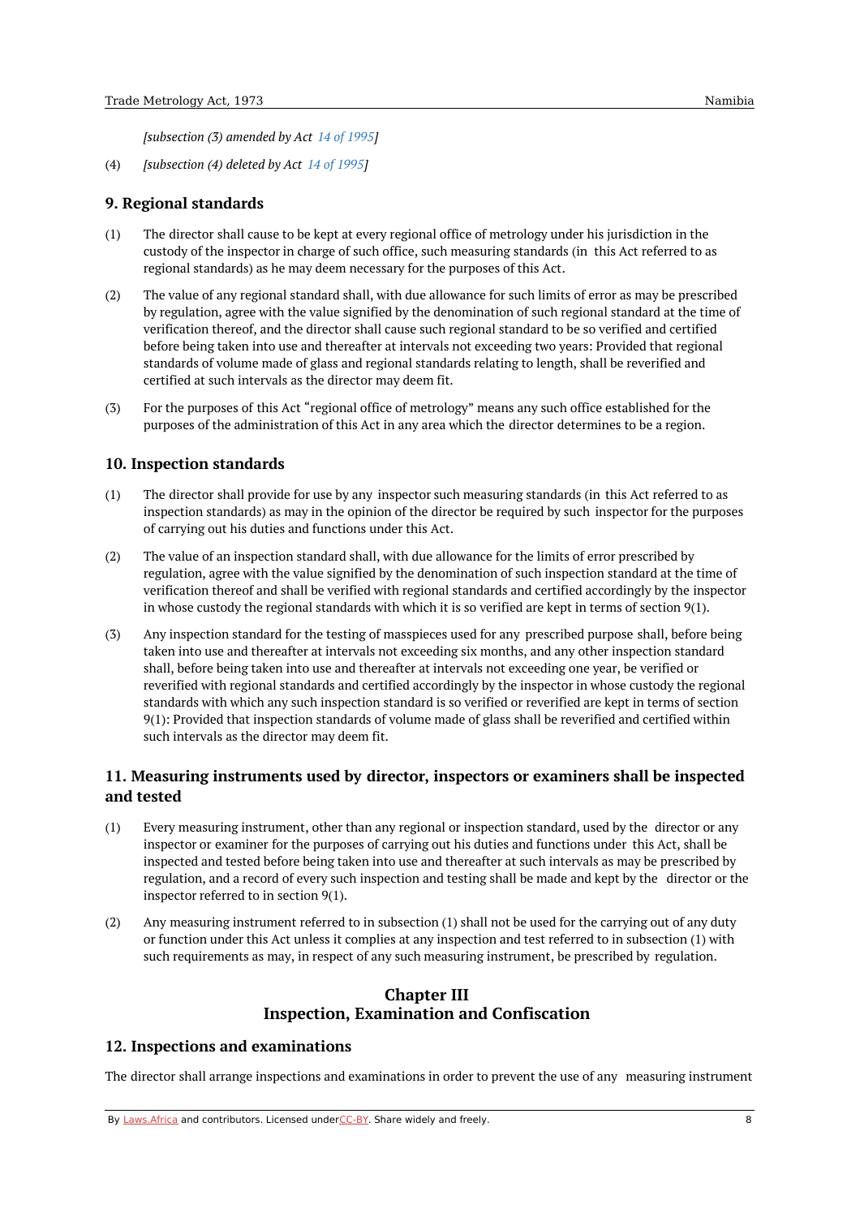*[subsection (3) amended by Act 14 of [1995](https://namiblii.org/akn/na/act/1995/14)]*

(4) *[subsection (4) deleted by Act 14 of [1995](https://namiblii.org/akn/na/act/1995/14)]*

### <span id="page-7-0"></span>**9. Regional standards**

- (1) The director shall cause to be kept at every regional office of metrology under his jurisdiction in the custody of the inspector in charge of such office, such measuring standards (in this Act referred to as regional standards) as he may deem necessary for the purposes of this Act.
- (2) The value of any regional standard shall, with due allowance for such limits of error as may be prescribed by regulation, agree with the value signified by the denomination of such regional standard at the time of verification thereof, and the director shall cause such regional standard to be so verified and certified before being taken into use and thereafter at intervals not exceeding two years: Provided that regional standards of volume made of glass and regional standards relating to length, shall be reverified and certified at such intervals as the director may deem fit.
- (3) For the purposes of this Act "regional office of metrology" means any such office established for the purposes of the administration of this Act in any area which the director determines to be a region.

### <span id="page-7-1"></span>**10. Inspection standards**

- (1) The director shall provide for use by any inspector such measuring standards (in this Act referred to as inspection standards) as may in the opinion of the director be required by such inspector for the purposes of carrying out his duties and functions under this Act.
- (2) The value of an inspection standard shall, with due allowance for the limits of error prescribed by regulation, agree with the value signified by the denomination of such inspection standard at the time of verification thereof and shall be verified with regional standards and certified accordingly by the inspector in whose custody the regional standards with which it is so verified are kept in terms of section 9(1).
- (3) Any inspection standard for the testing of masspieces used for any prescribed purpose shall, before being taken into use and thereafter at intervals not exceeding six months, and any other inspection standard shall, before being taken into use and thereafter at intervals not exceeding one year, be verified or reverified with regional standards and certified accordingly by the inspector in whose custody the regional standards with which any such inspection standard is so verified or reverified are kept in terms of section 9(1): Provided that inspection standards of volume made of glass shall be reverified and certified within such intervals as the director may deem fit.

# <span id="page-7-2"></span>**11. Measuring instruments used by director, inspectors or examiners shall be inspected and tested**

- (1) Every measuring instrument, other than any regional or inspection standard, used by the director or any inspector or examiner for the purposes of carrying out his duties and functions under this Act, shall be inspected and tested before being taken into use and thereafter at such intervals as may be prescribed by regulation, and a record of every such inspection and testing shall be made and kept by the director or the inspector referred to in section 9(1).
- (2) Any measuring instrument referred to in subsection (1) shall not be used for the carrying out of any duty or function under this Act unless it complies at any inspection and test referred to in subsection (1) with such requirements as may, in respect of any such measuring instrument, be prescribed by regulation.

# **Chapter III Inspection, Examination and Confiscation**

### <span id="page-7-4"></span><span id="page-7-3"></span>**12. Inspections and examinations**

The director shall arrange inspections and examinations in order to prevent the use of any measuring instrument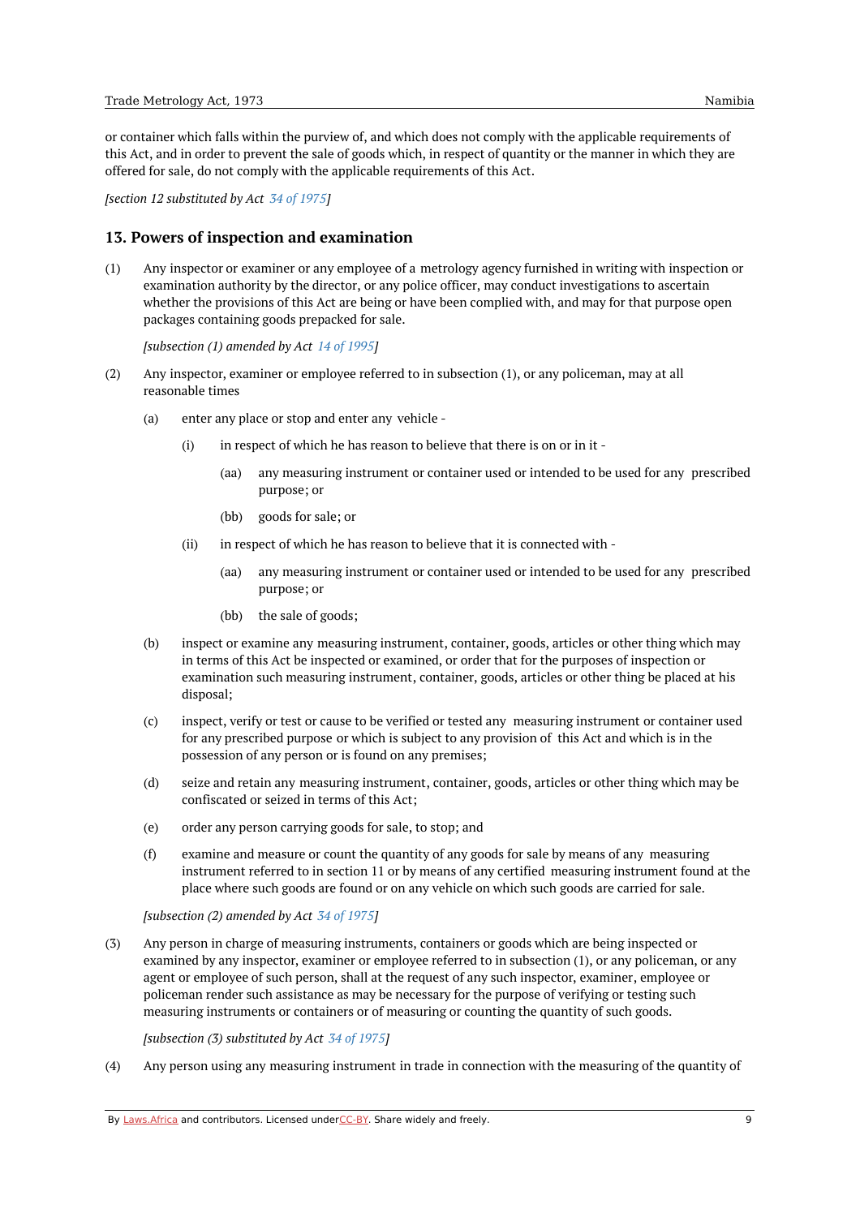or container which falls within the purview of, and which does not comply with the applicable requirements of this Act, and in order to prevent the sale of goods which, in respect of quantity or the manner in which they are offered for sale, do not comply with the applicable requirements of this Act.

*[section 12 substituted by Act 34 of [1975](https://namiblii.org/akn/na/act/1975/34)]*

### <span id="page-8-0"></span>**13. Powers of inspection and examination**

(1) Any inspector or examiner or any employee of a metrology agency furnished in writing with inspection or examination authority by the director, or any police officer, may conduct investigations to ascertain whether the provisions of this Act are being or have been complied with, and may for that purpose open packages containing goods prepacked for sale.

*[subsection (1) amended by Act 14 of [1995](https://namiblii.org/akn/na/act/1995/14)]*

- (2) Any inspector, examiner or employee referred to in subsection (1), or any policeman, may at all reasonable times
	- (a) enter any place or stop and enter any vehicle -
		- (i) in respect of which he has reason to believe that there is on or in it -
			- (aa) any measuring instrument or container used or intended to be used for any prescribed purpose; or
			- (bb) goods for sale; or
		- (ii) in respect of which he has reason to believe that it is connected with -
			- (aa) any measuring instrument or container used or intended to be used for any prescribed purpose; or
			- (bb) the sale of goods;
	- (b) inspect or examine any measuring instrument, container, goods, articles or other thing which may in terms of this Act be inspected or examined, or order that for the purposes of inspection or examination such measuring instrument, container, goods, articles or other thing be placed at his disposal;
	- (c) inspect, verify or test or cause to be verified or tested any measuring instrument or container used for any prescribed purpose or which is subject to any provision of this Act and which is in the possession of any person or is found on any premises;
	- (d) seize and retain any measuring instrument, container, goods, articles or other thing which may be confiscated or seized in terms of this Act;
	- (e) order any person carrying goods for sale, to stop; and
	- (f) examine and measure or count the quantity of any goods for sale by means of any measuring instrument referred to in section 11 or by means of any certified measuring instrument found at the place where such goods are found or on any vehicle on which such goods are carried for sale.

*[subsection (2) amended by Act 34 of [1975](https://namiblii.org/akn/na/act/1975/34)]*

(3) Any person in charge of measuring instruments, containers or goods which are being inspected or examined by any inspector, examiner or employee referred to in subsection (1), or any policeman, or any agent or employee of such person, shall at the request of any such inspector, examiner, employee or policeman render such assistance as may be necessary for the purpose of verifying or testing such measuring instruments or containers or of measuring or counting the quantity of such goods.

*[subsection (3) substituted by Act 34 of [1975](https://namiblii.org/akn/na/act/1975/34)]*

(4) Any person using any measuring instrument in trade in connection with the measuring of the quantity of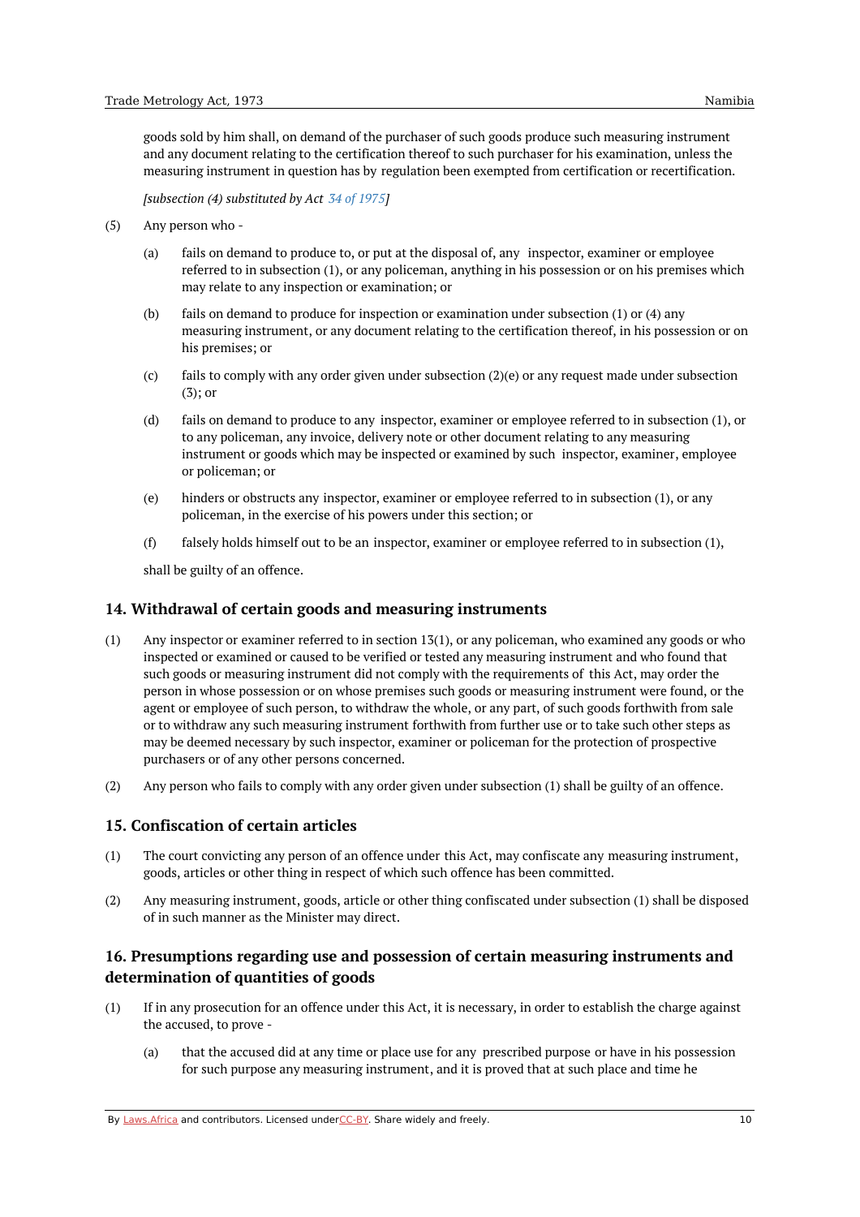goods sold by him shall, on demand of the purchaser of such goods produce such measuring instrument and any document relating to the certification thereof to such purchaser for his examination, unless the measuring instrument in question has by regulation been exempted from certification or recertification.

*[subsection (4) substituted by Act 34 of [1975](https://namiblii.org/akn/na/act/1975/34)]*

- (5) Any person who -
	- (a) fails on demand to produce to, or put at the disposal of, any inspector, examiner or employee referred to in subsection (1), or any policeman, anything in his possession or on his premises which may relate to any inspection or examination; or
	- (b) fails on demand to produce for inspection or examination under subsection (1) or (4) any measuring instrument, or any document relating to the certification thereof, in his possession or on his premises; or
	- (c) fails to comply with any order given under subsection (2)(e) or any request made under subsection (3); or
	- (d) fails on demand to produce to any inspector, examiner or employee referred to in subsection (1), or to any policeman, any invoice, delivery note or other document relating to any measuring instrument or goods which may be inspected or examined by such inspector, examiner, employee or policeman; or
	- (e) hinders or obstructs any inspector, examiner or employee referred to in subsection (1), or any policeman, in the exercise of his powers under this section; or
	- (f) falsely holds himself out to be an inspector, examiner or employee referred to in subsection (1),

shall be guilty of an offence.

### <span id="page-9-0"></span>**14. Withdrawal of certain goods and measuring instruments**

- (1) Any inspector or examiner referred to in section 13(1), or any policeman, who examined any goods or who inspected or examined or caused to be verified or tested any measuring instrument and who found that such goods or measuring instrument did not comply with the requirements of this Act, may order the person in whose possession or on whose premises such goods or measuring instrument were found, or the agent or employee of such person, to withdraw the whole, or any part, of such goods forthwith from sale or to withdraw any such measuring instrument forthwith from further use or to take such other steps as may be deemed necessary by such inspector, examiner or policeman for the protection of prospective purchasers or of any other persons concerned.
- (2) Any person who fails to comply with any order given under subsection (1) shall be guilty of an offence.

# <span id="page-9-1"></span>**15. Confiscation of certain articles**

- (1) The court convicting any person of an offence under this Act, may confiscate any measuring instrument, goods, articles or other thing in respect of which such offence has been committed.
- (2) Any measuring instrument, goods, article or other thing confiscated under subsection (1) shall be disposed of in such manner as the Minister may direct.

# <span id="page-9-2"></span>**16. Presumptions regarding use and possession of certain measuring instruments and determination of quantities of goods**

- (1) If in any prosecution for an offence under this Act, it is necessary, in order to establish the charge against the accused, to prove -
	- (a) that the accused did at any time or place use for any prescribed purpose or have in his possession for such purpose any measuring instrument, and it is proved that at such place and time he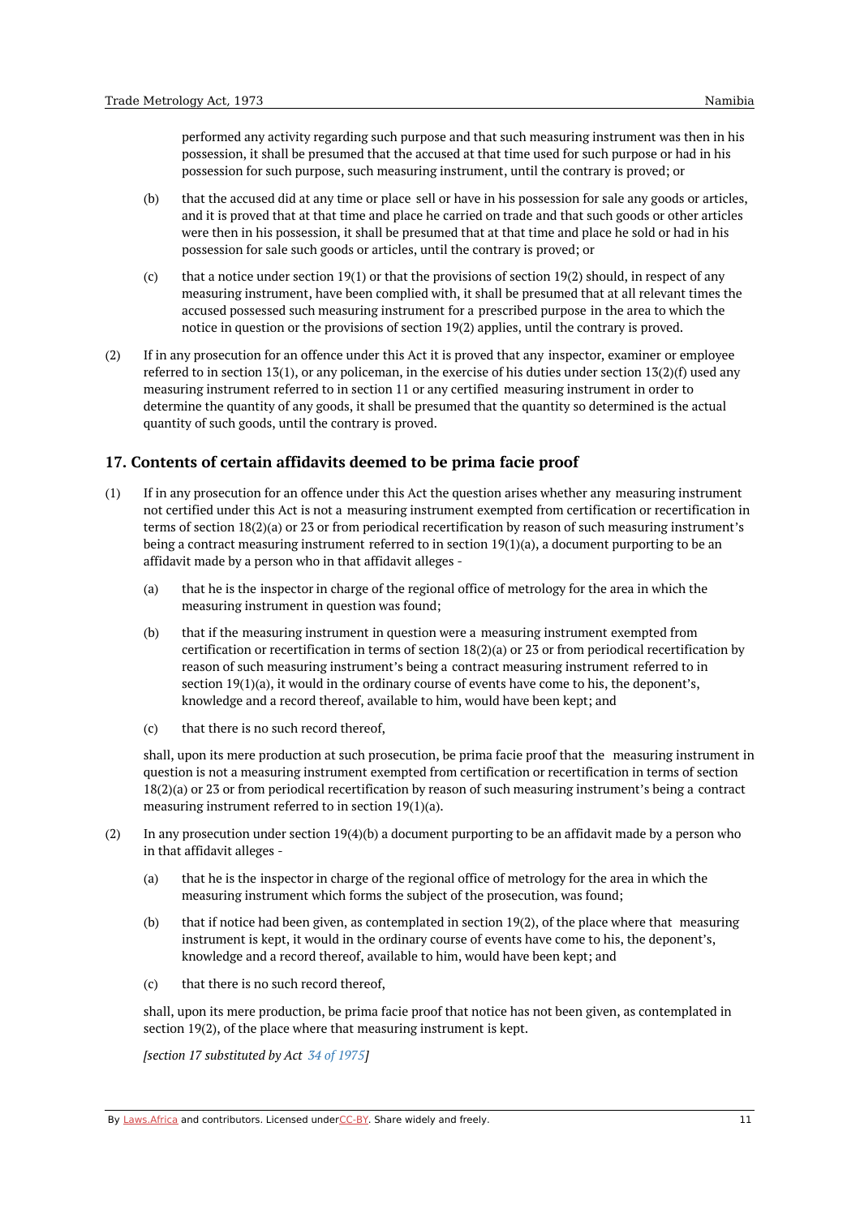performed any activity regarding such purpose and that such measuring instrument was then in his possession, it shall be presumed that the accused at that time used for such purpose or had in his possession for such purpose, such measuring instrument, until the contrary is proved; or

- (b) that the accused did at any time or place sell or have in his possession for sale any goods or articles, and it is proved that at that time and place he carried on trade and that such goods or other articles were then in his possession, it shall be presumed that at that time and place he sold or had in his possession for sale such goods or articles, until the contrary is proved; or
- (c) that a notice under section 19(1) or that the provisions of section 19(2) should, in respect of any measuring instrument, have been complied with, it shall be presumed that at all relevant times the accused possessed such measuring instrument for a prescribed purpose in the area to which the notice in question or the provisions of section 19(2) applies, until the contrary is proved.
- (2) If in any prosecution for an offence under this Act it is proved that any inspector, examiner or employee referred to in section 13(1), or any policeman, in the exercise of his duties under section 13(2)(f) used any measuring instrument referred to in section 11 or any certified measuring instrument in order to determine the quantity of any goods, it shall be presumed that the quantity so determined is the actual quantity of such goods, until the contrary is proved.

# <span id="page-10-0"></span>**17. Contents of certain affidavits deemed to be prima facie proof**

- (1) If in any prosecution for an offence under this Act the question arises whether any measuring instrument not certified under this Act is not a measuring instrument exempted from certification or recertification in terms of section 18(2)(a) or 23 or from periodical recertification by reason of such measuring instrument's being a contract measuring instrument referred to in section 19(1)(a), a document purporting to be an affidavit made by a person who in that affidavit alleges -
	- (a) that he is the inspector in charge of the regional office of metrology for the area in which the measuring instrument in question was found;
	- (b) that if the measuring instrument in question were a measuring instrument exempted from certification or recertification in terms of section 18(2)(a) or 23 or from periodical recertification by reason of such measuring instrument's being a contract measuring instrument referred to in section 19(1)(a), it would in the ordinary course of events have come to his, the deponent's, knowledge and a record thereof, available to him, would have been kept; and
	- $(c)$ that there is no such record thereof,

shall, upon its mere production at such prosecution, be prima facie proof that the measuring instrument in question is not a measuring instrument exempted from certification or recertification in terms of section 18(2)(a) or 23 or from periodical recertification by reason of such measuring instrument's being a contract measuring instrument referred to in section 19(1)(a).

- (2) In any prosecution under section 19(4)(b) a document purporting to be an affidavit made by a person who in that affidavit alleges -
	- (a) that he is the inspector in charge of the regional office of metrology for the area in which the measuring instrument which forms the subject of the prosecution, was found;
	- (b) that if notice had been given, as contemplated in section 19(2), of the place where that measuring instrument is kept, it would in the ordinary course of events have come to his, the deponent's, knowledge and a record thereof, available to him, would have been kept; and
	- (c) that there is no such record thereof,

shall, upon its mere production, be prima facie proof that notice has not been given, as contemplated in section 19(2), of the place where that measuring instrument is kept.

*[section 17 substituted by Act 34 of [1975](https://namiblii.org/akn/na/act/1975/34)]*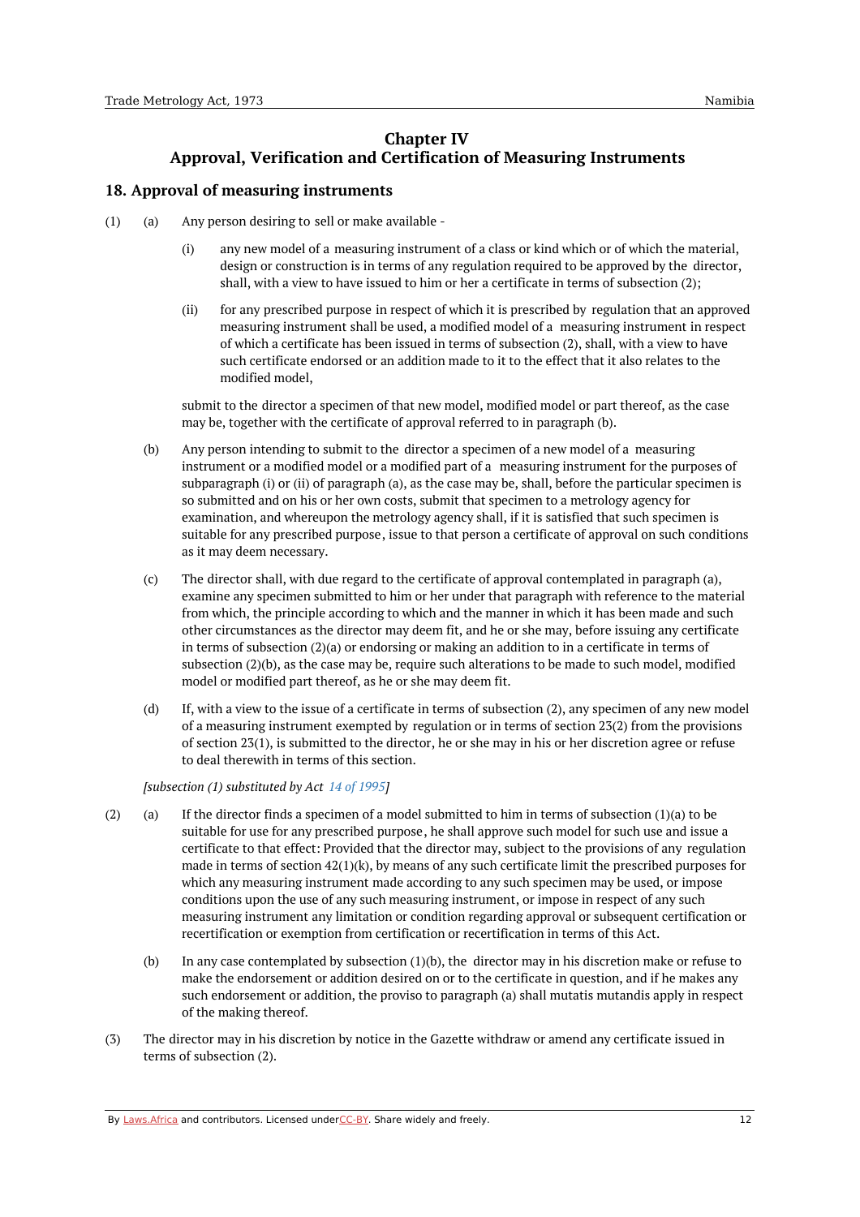# **Chapter IV Approval, Verification and Certification of Measuring Instruments**

# <span id="page-11-1"></span><span id="page-11-0"></span>**18. Approval of measuring instruments**

- (a) (1) Any person desiring to sell or make available -
	- (i) any new model of a measuring instrument of a class or kind which or of which the material, design or construction is in terms of any regulation required to be approved by the director, shall, with a view to have issued to him or her a certificate in terms of subsection (2);
	- (ii) for any prescribed purpose in respect of which it is prescribed by regulation that an approved measuring instrument shall be used, a modified model of a measuring instrument in respect of which a certificate has been issued in terms of subsection (2), shall, with a view to have such certificate endorsed or an addition made to it to the effect that it also relates to the modified model,

submit to the director a specimen of that new model, modified model or part thereof, as the case may be, together with the certificate of approval referred to in paragraph (b).

- (b) Any person intending to submit to the director a specimen of a new model of a measuring instrument or a modified model or a modified part of a measuring instrument for the purposes of subparagraph (i) or (ii) of paragraph (a), as the case may be, shall, before the particular specimen is so submitted and on his or her own costs, submit that specimen to a metrology agency for examination, and whereupon the metrology agency shall, if it is satisfied that such specimen is suitable for any prescribed purpose, issue to that person a certificate of approval on such conditions as it may deem necessary.
- $(c)$ The director shall, with due regard to the certificate of approval contemplated in paragraph (a), examine any specimen submitted to him or her under that paragraph with reference to the material from which, the principle according to which and the manner in which it has been made and such other circumstances as the director may deem fit, and he or she may, before issuing any certificate in terms of subsection (2)(a) or endorsing or making an addition to in a certificate in terms of subsection (2)(b), as the case may be, require such alterations to be made to such model, modified model or modified part thereof, as he or she may deem fit.
- (d) If, with a view to the issue of a certificate in terms of subsection (2), any specimen of any new model of a measuring instrument exempted by regulation or in terms of section 23(2) from the provisions of section 23(1), is submitted to the director, he or she may in his or her discretion agree or refuse to deal therewith in terms of this section.

*[subsection (1) substituted by Act 14 of [1995](https://namiblii.org/akn/na/act/1995/14)]*

- (a) (2) If the director finds a specimen of a model submitted to him in terms of subsection (1)(a) to be suitable for use for any prescribed purpose, he shall approve such model for such use and issue a certificate to that effect: Provided that the director may, subject to the provisions of any regulation made in terms of section  $42(1)(k)$ , by means of any such certificate limit the prescribed purposes for which any measuring instrument made according to any such specimen may be used, or impose conditions upon the use of any such measuring instrument, or impose in respect of any such measuring instrument any limitation or condition regarding approval or subsequent certification or recertification or exemption from certification or recertification in terms of this Act.
	- (b) In any case contemplated by subsection  $(1)(b)$ , the director may in his discretion make or refuse to make the endorsement or addition desired on or to the certificate in question, and if he makes any such endorsement or addition, the proviso to paragraph (a) shall mutatis mutandis apply in respect of the making thereof.
- (3) The director may in his discretion by notice in the Gazette withdraw or amend any certificate issued in terms of subsection (2).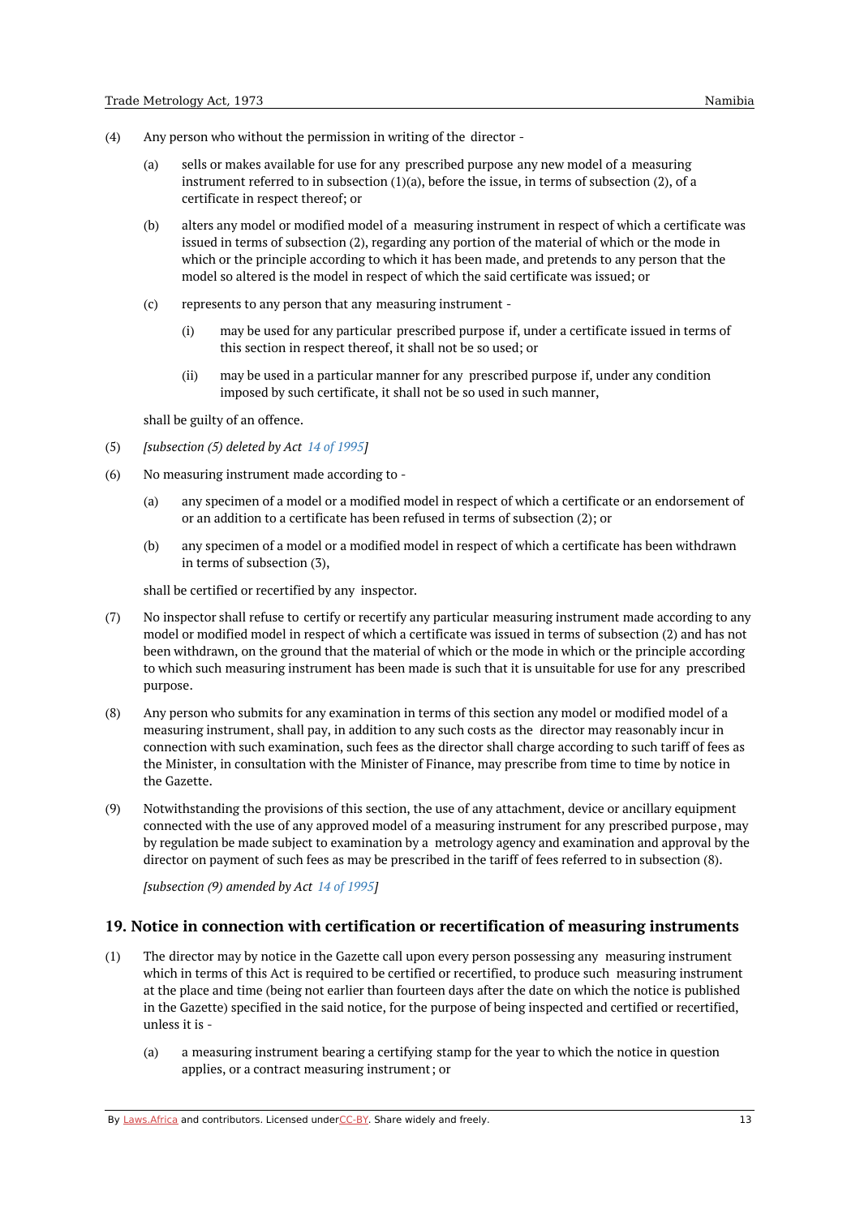- (4) Any person who without the permission in writing of the director -
	- (a) sells or makes available for use for any prescribed purpose any new model of a measuring instrument referred to in subsection (1)(a), before the issue, in terms of subsection (2), of a certificate in respect thereof; or
	- (b) alters any model or modified model of a measuring instrument in respect of which a certificate was issued in terms of subsection (2), regarding any portion of the material of which or the mode in which or the principle according to which it has been made, and pretends to any person that the model so altered is the model in respect of which the said certificate was issued; or
	- (c) represents to any person that any measuring instrument -
		- (i) may be used for any particular prescribed purpose if, under a certificate issued in terms of this section in respect thereof, it shall not be so used; or
		- (ii) may be used in a particular manner for any prescribed purpose if, under any condition imposed by such certificate, it shall not be so used in such manner,

shall be guilty of an offence.

- (5) *[subsection (5) deleted by Act 14 of [1995](https://namiblii.org/akn/na/act/1995/14)]*
- (6) No measuring instrument made according to -
	- (a) any specimen of a model or a modified model in respect of which a certificate or an endorsement of or an addition to a certificate has been refused in terms of subsection (2); or
	- (b) any specimen of a model or a modified model in respect of which a certificate has been withdrawn in terms of subsection (3),

shall be certified or recertified by any inspector.

- (7) No inspector shall refuse to certify or recertify any particular measuring instrument made according to any model or modified model in respect of which a certificate was issued in terms of subsection (2) and has not been withdrawn, on the ground that the material of which or the mode in which or the principle according to which such measuring instrument has been made is such that it is unsuitable for use for any prescribed purpose.
- (8) Any person who submits for any examination in terms of this section any model or modified model of a measuring instrument, shall pay, in addition to any such costs as the director may reasonably incur in connection with such examination, such fees as the director shall charge according to such tariff of fees as the Minister, in consultation with the Minister of Finance, may prescribe from time to time by notice in the Gazette.
- (9) Notwithstanding the provisions of this section, the use of any attachment, device or ancillary equipment connected with the use of any approved model of a measuring instrument for any prescribed purpose, may by regulation be made subject to examination by a metrology agency and examination and approval by the director on payment of such fees as may be prescribed in the tariff of fees referred to in subsection (8).

*[subsection (9) amended by Act 14 of [1995](https://namiblii.org/akn/na/act/1995/14)]*

### <span id="page-12-0"></span>**19. Notice in connection with certification or recertification of measuring instruments**

- (1) The director may by notice in the Gazette call upon every person possessing any measuring instrument which in terms of this Act is required to be certified or recertified, to produce such measuring instrument at the place and time (being not earlier than fourteen days after the date on which the notice is published in the Gazette) specified in the said notice, for the purpose of being inspected and certified or recertified, unless it is -
	- (a) a measuring instrument bearing a certifying stamp for the year to which the notice in question applies, or a contract measuring instrument; or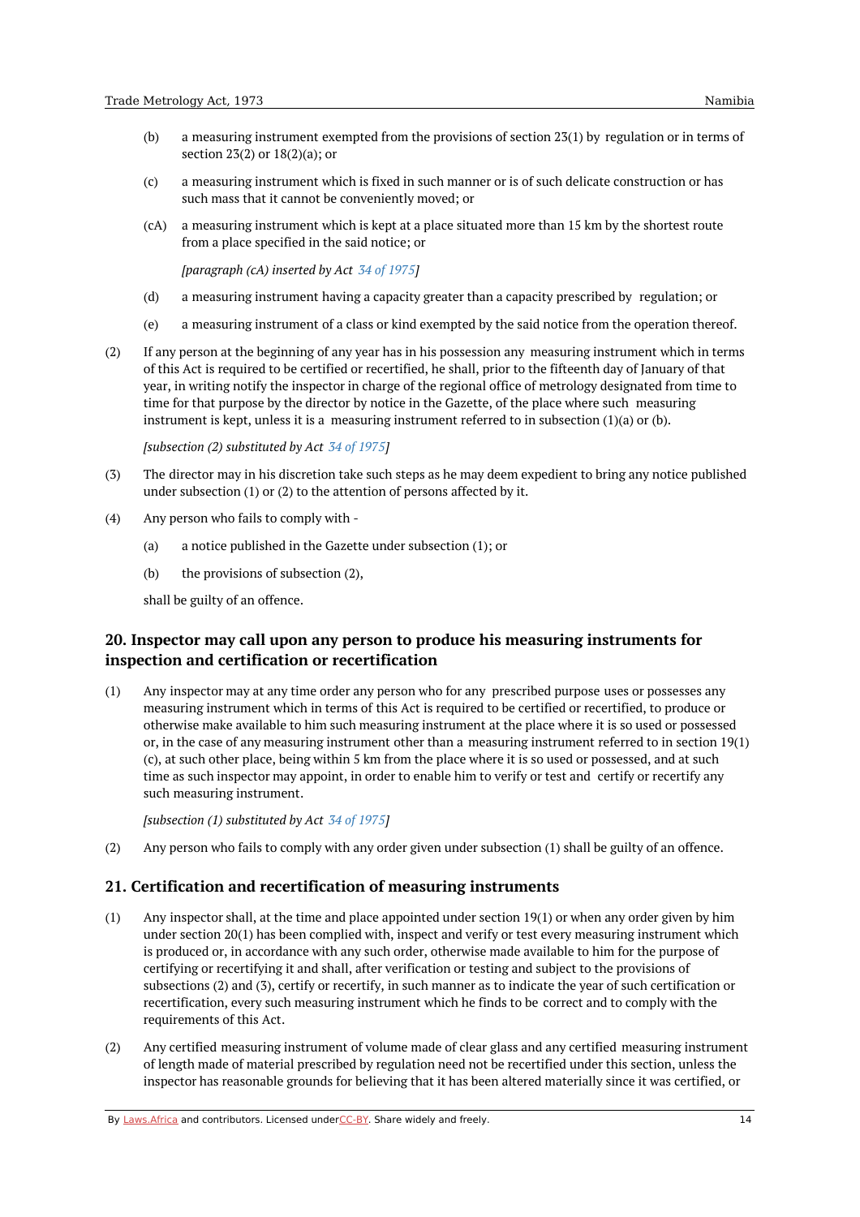- (b) a measuring instrument exempted from the provisions of section 23(1) by regulation or in terms of section 23(2) or 18(2)(a); or
- (c) a measuring instrument which is fixed in such manner or is of such delicate construction or has such mass that it cannot be conveniently moved; or
- (cA) a measuring instrument which is kept at a place situated more than 15 km by the shortest route from a place specified in the said notice; or

*[paragraph (cA) inserted by Act 34 of [1975](https://namiblii.org/akn/na/act/1975/34)]*

- (d) a measuring instrument having a capacity greater than a capacity prescribed by regulation; or
- (e) a measuring instrument of a class or kind exempted by the said notice from the operation thereof.
- (2) If any person at the beginning of any year has in his possession any measuring instrument which in terms of this Act is required to be certified or recertified, he shall, prior to the fifteenth day of January of that year, in writing notify the inspector in charge of the regional office of metrology designated from time to time for that purpose by the director by notice in the Gazette, of the place where such measuring instrument is kept, unless it is a measuring instrument referred to in subsection (1)(a) or (b).

*[subsection (2) substituted by Act 34 of [1975](https://namiblii.org/akn/na/act/1975/34)]*

- (3) The director may in his discretion take such steps as he may deem expedient to bring any notice published under subsection (1) or (2) to the attention of persons affected by it.
- (4) Any person who fails to comply with -
	- (a) a notice published in the Gazette under subsection (1); or
	- (b) the provisions of subsection (2),

shall be guilty of an offence.

# <span id="page-13-0"></span>**20. Inspector may call upon any person to produce his measuring instruments for inspection and certification or recertification**

(1) Any inspector may at any time order any person who for any prescribed purpose uses or possesses any measuring instrument which in terms of this Act is required to be certified or recertified, to produce or otherwise make available to him such measuring instrument at the place where it is so used or possessed or, in the case of any measuring instrument other than a measuring instrument referred to in section 19(1) (c), at such other place, being within 5 km from the place where it is so used or possessed, and at such time as such inspector may appoint, in order to enable him to verify or test and certify or recertify any such measuring instrument.

*[subsection (1) substituted by Act 34 of [1975](https://namiblii.org/akn/na/act/1975/34)]*

(2) Any person who fails to comply with any order given under subsection (1) shall be guilty of an offence.

### <span id="page-13-1"></span>**21. Certification and recertification of measuring instruments**

- (1) Any inspector shall, at the time and place appointed under section 19(1) or when any order given by him under section 20(1) has been complied with, inspect and verify or test every measuring instrument which is produced or, in accordance with any such order, otherwise made available to him for the purpose of certifying or recertifying it and shall, after verification or testing and subject to the provisions of subsections (2) and (3), certify or recertify, in such manner as to indicate the year of such certification or recertification, every such measuring instrument which he finds to be correct and to comply with the requirements of this Act.
- (2) Any certified measuring instrument of volume made of clear glass and any certified measuring instrument of length made of material prescribed by regulation need not be recertified under this section, unless the inspector has reasonable grounds for believing that it has been altered materially since it was certified, or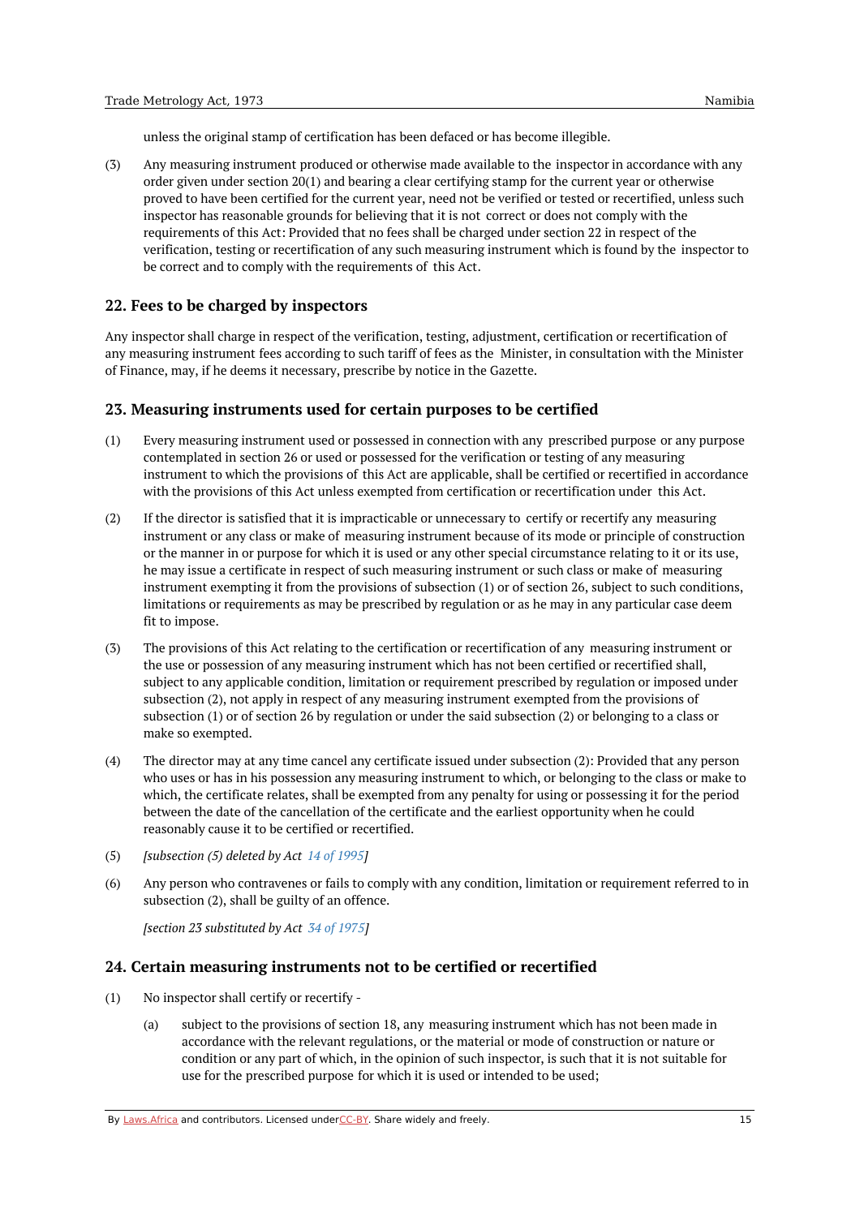unless the original stamp of certification has been defaced or has become illegible.

(3) Any measuring instrument produced or otherwise made available to the inspector in accordance with any order given under section 20(1) and bearing a clear certifying stamp for the current year or otherwise proved to have been certified for the current year, need not be verified or tested or recertified, unless such inspector has reasonable grounds for believing that it is not correct or does not comply with the requirements of this Act: Provided that no fees shall be charged under section 22 in respect of the verification, testing or recertification of any such measuring instrument which is found by the inspector to be correct and to comply with the requirements of this Act.

### <span id="page-14-0"></span>**22. Fees to be charged by inspectors**

Any inspector shall charge in respect of the verification, testing, adjustment, certification or recertification of any measuring instrument fees according to such tariff of fees as the Minister, in consultation with the Minister of Finance, may, if he deems it necessary, prescribe by notice in the Gazette.

### <span id="page-14-1"></span>**23. Measuring instruments used for certain purposes to be certified**

- (1) Every measuring instrument used or possessed in connection with any prescribed purpose or any purpose contemplated in section 26 or used or possessed for the verification or testing of any measuring instrument to which the provisions of this Act are applicable, shall be certified or recertified in accordance with the provisions of this Act unless exempted from certification or recertification under this Act.
- (2) If the director is satisfied that it is impracticable or unnecessary to certify or recertify any measuring instrument or any class or make of measuring instrument because of its mode or principle of construction or the manner in or purpose for which it is used or any other special circumstance relating to it or its use, he may issue a certificate in respect of such measuring instrument or such class or make of measuring instrument exempting it from the provisions of subsection (1) or of section 26, subject to such conditions, limitations or requirements as may be prescribed by regulation or as he may in any particular case deem fit to impose.
- (3) The provisions of this Act relating to the certification or recertification of any measuring instrument or the use or possession of any measuring instrument which has not been certified or recertified shall, subject to any applicable condition, limitation or requirement prescribed by regulation or imposed under subsection (2), not apply in respect of any measuring instrument exempted from the provisions of subsection (1) or of section 26 by regulation or under the said subsection (2) or belonging to a class or make so exempted.
- (4) The director may at any time cancel any certificate issued under subsection (2): Provided that any person who uses or has in his possession any measuring instrument to which, or belonging to the class or make to which, the certificate relates, shall be exempted from any penalty for using or possessing it for the period between the date of the cancellation of the certificate and the earliest opportunity when he could reasonably cause it to be certified or recertified.
- (5) *[subsection (5) deleted by Act 14 of [1995](https://namiblii.org/akn/na/act/1995/14)]*
- (6) Any person who contravenes or fails to comply with any condition, limitation or requirement referred to in subsection (2), shall be guilty of an offence.

*[section 23 substituted by Act 34 of [1975](https://namiblii.org/akn/na/act/1975/34)]*

### <span id="page-14-2"></span>**24. Certain measuring instruments not to be certified or recertified**

- (1) No inspector shall certify or recertify -
	- (a) subject to the provisions of section 18, any measuring instrument which has not been made in accordance with the relevant regulations, or the material or mode of construction or nature or condition or any part of which, in the opinion of such inspector, is such that it is not suitable for use for the prescribed purpose for which it is used or intended to be used;

By [Laws.Africa](https://edit.laws.africa/widgets/pdf-attribution) and contributors. Licensed und[erCC-B](https://edit.laws.africa/widgets/pdf-cc-by)Y. Share widely and freely. 15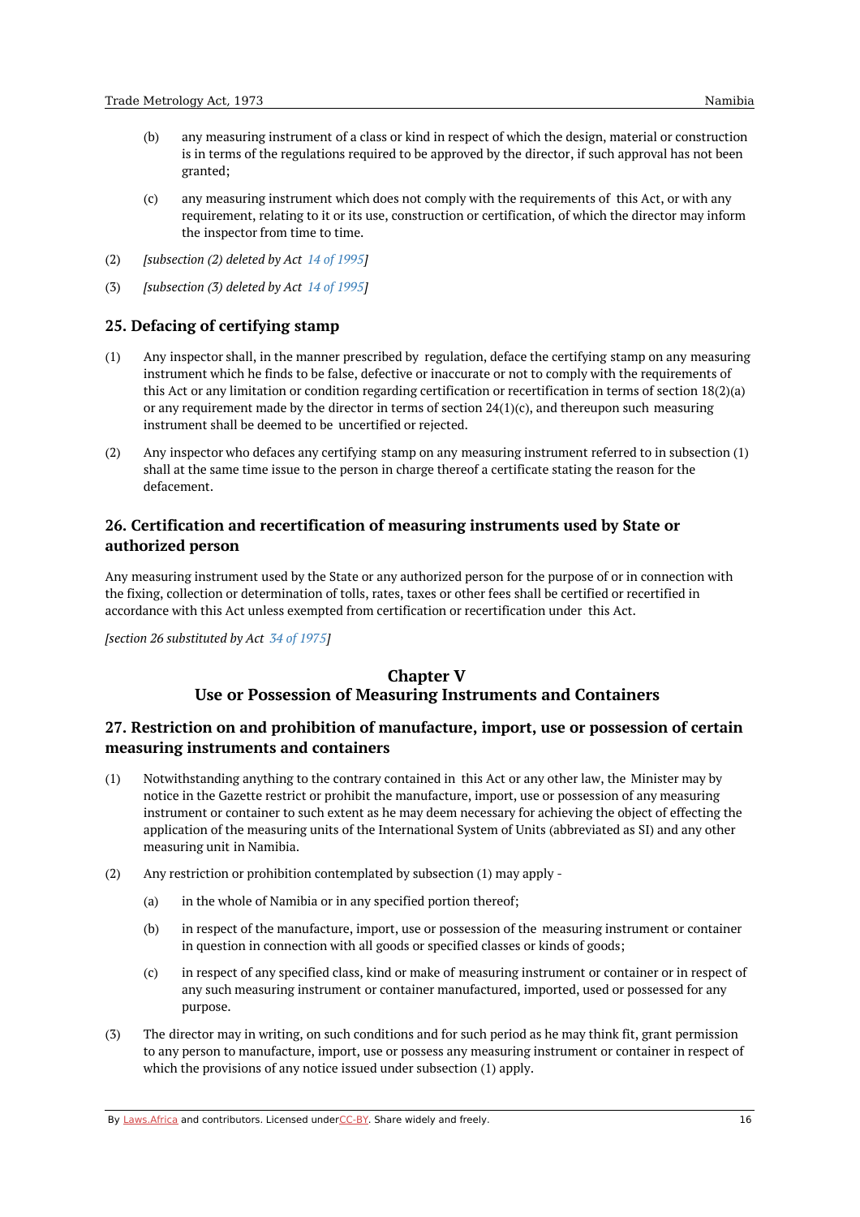- (b) any measuring instrument of a class or kind in respect of which the design, material or construction is in terms of the regulations required to be approved by the director, if such approval has not been granted;
- (c) any measuring instrument which does not comply with the requirements of this Act, or with any requirement, relating to it or its use, construction or certification, of which the director may inform the inspector from time to time.
- (2) *[subsection (2) deleted by Act 14 of [1995](https://namiblii.org/akn/na/act/1995/14)]*
- (3) *[subsection (3) deleted by Act 14 of [1995](https://namiblii.org/akn/na/act/1995/14)]*

# <span id="page-15-0"></span>**25. Defacing of certifying stamp**

- (1) Any inspector shall, in the manner prescribed by regulation, deface the certifying stamp on any measuring instrument which he finds to be false, defective or inaccurate or not to comply with the requirements of this Act or any limitation or condition regarding certification or recertification in terms of section 18(2)(a) or any requirement made by the director in terms of section  $24(1)(c)$ , and thereupon such measuring instrument shall be deemed to be uncertified or rejected.
- (2) Any inspector who defaces any certifying stamp on any measuring instrument referred to in subsection (1) shall at the same time issue to the person in charge thereof a certificate stating the reason for the defacement.

# <span id="page-15-1"></span>**26. Certification and recertification of measuring instruments used by State or authorized person**

Any measuring instrument used by the State or any authorized person for the purpose of or in connection with the fixing, collection or determination of tolls, rates, taxes or other fees shall be certified or recertified in accordance with this Act unless exempted from certification or recertification under this Act.

<span id="page-15-2"></span>*[section 26 substituted by Act 34 of [1975](https://namiblii.org/akn/na/act/1975/34)]*

# **Chapter V Use or Possession of Measuring Instruments and Containers**

# <span id="page-15-3"></span>**27. Restriction on and prohibition of manufacture, import, use or possession of certain measuring instruments and containers**

- (1) Notwithstanding anything to the contrary contained in this Act or any other law, the Minister may by notice in the Gazette restrict or prohibit the manufacture, import, use or possession of any measuring instrument or container to such extent as he may deem necessary for achieving the object of effecting the application of the measuring units of the International System of Units (abbreviated as SI) and any other measuring unit in Namibia.
- (2) Any restriction or prohibition contemplated by subsection (1) may apply -
	- (a) in the whole of Namibia or in any specified portion thereof;
	- (b) in respect of the manufacture, import, use or possession of the measuring instrument or container in question in connection with all goods or specified classes or kinds of goods;
	- (c) in respect of any specified class, kind or make of measuring instrument or container or in respect of any such measuring instrument or container manufactured, imported, used or possessed for any purpose.
- (3) The director may in writing, on such conditions and for such period as he may think fit, grant permission to any person to manufacture, import, use or possess any measuring instrument or container in respect of which the provisions of any notice issued under subsection (1) apply.

By [Laws.Africa](https://edit.laws.africa/widgets/pdf-attribution) and contributors. Licensed und[erCC-B](https://edit.laws.africa/widgets/pdf-cc-by)Y. Share widely and freely. 16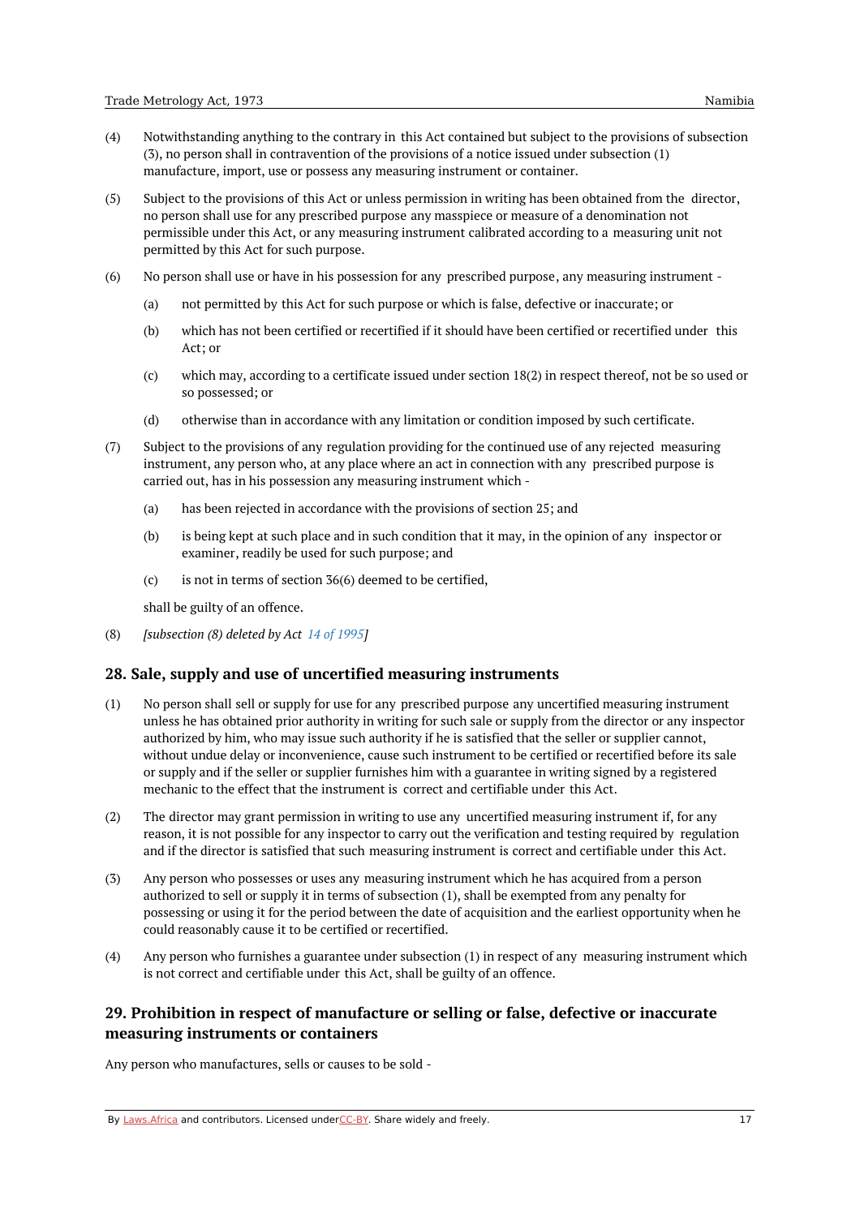- (4) Notwithstanding anything to the contrary in this Act contained but subject to the provisions of subsection (3), no person shall in contravention of the provisions of a notice issued under subsection (1) manufacture, import, use or possess any measuring instrument or container.
- (5) Subject to the provisions of this Act or unless permission in writing has been obtained from the director, no person shall use for any prescribed purpose any masspiece or measure of a denomination not permissible under this Act, or any measuring instrument calibrated according to a measuring unit not permitted by this Act for such purpose.
- (6) No person shall use or have in his possession for any prescribed purpose, any measuring instrument -
	- (a) not permitted by this Act for such purpose or which is false, defective or inaccurate; or
	- (b) which has not been certified or recertified if it should have been certified or recertified under this Act; or
	- (c) which may, according to a certificate issued under section 18(2) in respect thereof, not be so used or so possessed; or
	- (d) otherwise than in accordance with any limitation or condition imposed by such certificate.
- (7) Subject to the provisions of any regulation providing for the continued use of any rejected measuring instrument, any person who, at any place where an act in connection with any prescribed purpose is carried out, has in his possession any measuring instrument which -
	- (a) has been rejected in accordance with the provisions of section 25; and
	- (b) is being kept at such place and in such condition that it may, in the opinion of any inspector or examiner, readily be used for such purpose; and
	- (c) is not in terms of section 36(6) deemed to be certified,

shall be guilty of an offence.

(8) *[subsection (8) deleted by Act 14 of [1995](https://namiblii.org/akn/na/act/1995/14)]*

### <span id="page-16-0"></span>**28. Sale, supply and use of uncertified measuring instruments**

- (1) No person shall sell or supply for use for any prescribed purpose any uncertified measuring instrument unless he has obtained prior authority in writing for such sale or supply from the director or any inspector authorized by him, who may issue such authority if he is satisfied that the seller or supplier cannot, without undue delay or inconvenience, cause such instrument to be certified or recertified before its sale or supply and if the seller or supplier furnishes him with a guarantee in writing signed by a registered mechanic to the effect that the instrument is correct and certifiable under this Act.
- (2) The director may grant permission in writing to use any uncertified measuring instrument if, for any reason, it is not possible for any inspector to carry out the verification and testing required by regulation and if the director is satisfied that such measuring instrument is correct and certifiable under this Act.
- (3) Any person who possesses or uses any measuring instrument which he has acquired from a person authorized to sell or supply it in terms of subsection (1), shall be exempted from any penalty for possessing or using it for the period between the date of acquisition and the earliest opportunity when he could reasonably cause it to be certified or recertified.
- (4) Any person who furnishes a guarantee under subsection (1) in respect of any measuring instrument which is not correct and certifiable under this Act, shall be guilty of an offence.

# <span id="page-16-1"></span>**29. Prohibition in respect of manufacture or selling or false, defective or inaccurate measuring instruments or containers**

Any person who manufactures, sells or causes to be sold -

By [Laws.Africa](https://edit.laws.africa/widgets/pdf-attribution) and contributors. Licensed und[erCC-B](https://edit.laws.africa/widgets/pdf-cc-by)Y. Share widely and freely. 17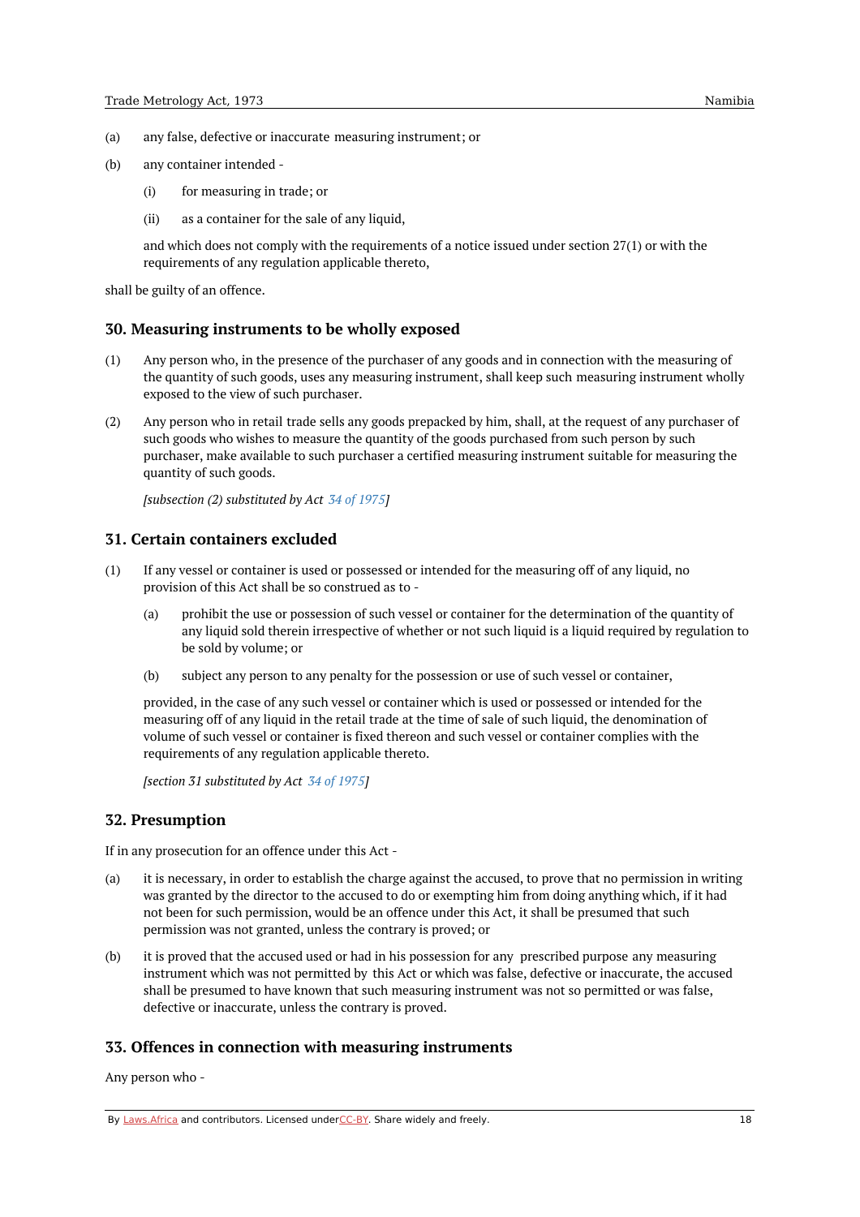- (a) any false, defective or inaccurate measuring instrument; or
- (b) any container intended -
	- (i) for measuring in trade; or
	- (ii) as a container for the sale of any liquid,

and which does not comply with the requirements of a notice issued under section 27(1) or with the requirements of any regulation applicable thereto,

shall be guilty of an offence.

#### <span id="page-17-0"></span>**30. Measuring instruments to be wholly exposed**

- (1) Any person who, in the presence of the purchaser of any goods and in connection with the measuring of the quantity of such goods, uses any measuring instrument, shall keep such measuring instrument wholly exposed to the view of such purchaser.
- (2) Any person who in retail trade sells any goods prepacked by him, shall, at the request of any purchaser of such goods who wishes to measure the quantity of the goods purchased from such person by such purchaser, make available to such purchaser a certified measuring instrument suitable for measuring the quantity of such goods.

*[subsection (2) substituted by Act 34 of [1975](https://namiblii.org/akn/na/act/1975/34)]*

### <span id="page-17-1"></span>**31. Certain containers excluded**

- (1) If any vessel or container is used or possessed or intended for the measuring off of any liquid, no provision of this Act shall be so construed as to -
	- (a) prohibit the use or possession of such vessel or container for the determination of the quantity of any liquid sold therein irrespective of whether or not such liquid is a liquid required by regulation to be sold by volume; or
	- (b) subject any person to any penalty for the possession or use of such vessel or container,

provided, in the case of any such vessel or container which is used or possessed or intended for the measuring off of any liquid in the retail trade at the time of sale of such liquid, the denomination of volume of such vessel or container is fixed thereon and such vessel or container complies with the requirements of any regulation applicable thereto.

*[section 31 substituted by Act 34 of [1975](https://namiblii.org/akn/na/act/1975/34)]*

### <span id="page-17-2"></span>**32. Presumption**

If in any prosecution for an offence under this Act -

- (a) it is necessary, in order to establish the charge against the accused, to prove that no permission in writing was granted by the director to the accused to do or exempting him from doing anything which, if it had not been for such permission, would be an offence under this Act, it shall be presumed that such permission was not granted, unless the contrary is proved; or
- (b) it is proved that the accused used or had in his possession for any prescribed purpose any measuring instrument which was not permitted by this Act or which was false, defective or inaccurate, the accused shall be presumed to have known that such measuring instrument was not so permitted or was false, defective or inaccurate, unless the contrary is proved.

### <span id="page-17-3"></span>**33. Offences in connection with measuring instruments**

Any person who -

By [Laws.Africa](https://edit.laws.africa/widgets/pdf-attribution) and contributors. Licensed und[erCC-B](https://edit.laws.africa/widgets/pdf-cc-by)Y. Share widely and freely. 18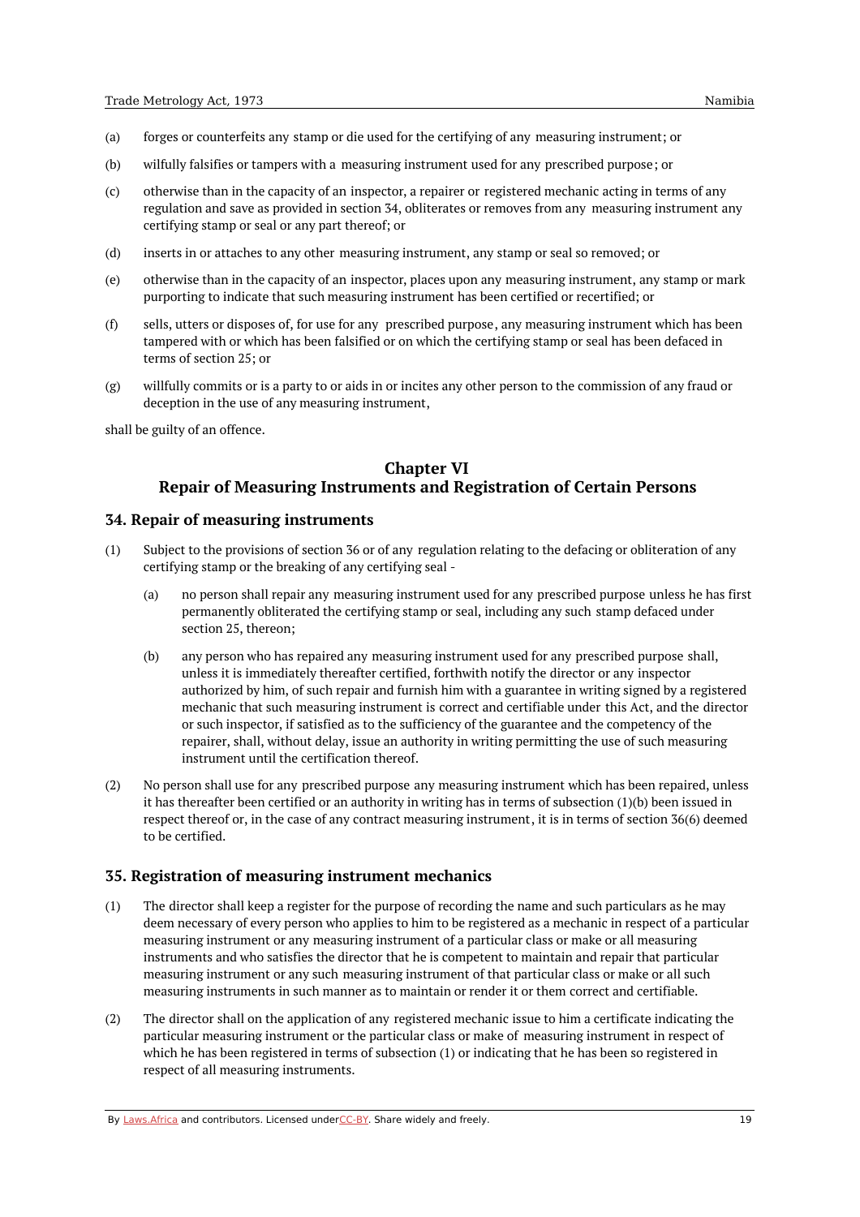- (a) forges or counterfeits any stamp or die used for the certifying of any measuring instrument; or
- (b) wilfully falsifies or tampers with a measuring instrument used for any prescribed purpose; or
- (c) otherwise than in the capacity of an inspector, a repairer or registered mechanic acting in terms of any regulation and save as provided in section 34, obliterates or removes from any measuring instrument any certifying stamp or seal or any part thereof; or
- (d) inserts in or attaches to any other measuring instrument, any stamp or seal so removed; or
- (e) otherwise than in the capacity of an inspector, places upon any measuring instrument, any stamp or mark purporting to indicate that such measuring instrument has been certified or recertified; or
- (f) sells, utters or disposes of, for use for any prescribed purpose, any measuring instrument which has been tampered with or which has been falsified or on which the certifying stamp or seal has been defaced in terms of section 25; or
- (g) willfully commits or is a party to or aids in or incites any other person to the commission of any fraud or deception in the use of any measuring instrument,

<span id="page-18-0"></span>shall be guilty of an offence.

# **Chapter VI**

# **Repair of Measuring Instruments and Registration of Certain Persons**

#### <span id="page-18-1"></span>**34. Repair of measuring instruments**

- (1) Subject to the provisions of section 36 or of any regulation relating to the defacing or obliteration of any certifying stamp or the breaking of any certifying seal -
	- (a) no person shall repair any measuring instrument used for any prescribed purpose unless he has first permanently obliterated the certifying stamp or seal, including any such stamp defaced under section 25, thereon;
	- (b) any person who has repaired any measuring instrument used for any prescribed purpose shall, unless it is immediately thereafter certified, forthwith notify the director or any inspector authorized by him, of such repair and furnish him with a guarantee in writing signed by a registered mechanic that such measuring instrument is correct and certifiable under this Act, and the director or such inspector, if satisfied as to the sufficiency of the guarantee and the competency of the repairer, shall, without delay, issue an authority in writing permitting the use of such measuring instrument until the certification thereof.
- (2) No person shall use for any prescribed purpose any measuring instrument which has been repaired, unless it has thereafter been certified or an authority in writing has in terms of subsection  $(1)(b)$  been issued in respect thereof or, in the case of any contract measuring instrument, it is in terms of section 36(6) deemed to be certified.

### <span id="page-18-2"></span>**35. Registration of measuring instrument mechanics**

- (1) The director shall keep a register for the purpose of recording the name and such particulars as he may deem necessary of every person who applies to him to be registered as a mechanic in respect of a particular measuring instrument or any measuring instrument of a particular class or make or all measuring instruments and who satisfies the director that he is competent to maintain and repair that particular measuring instrument or any such measuring instrument of that particular class or make or all such measuring instruments in such manner as to maintain or render it or them correct and certifiable.
- (2) The director shall on the application of any registered mechanic issue to him a certificate indicating the particular measuring instrument or the particular class or make of measuring instrument in respect of which he has been registered in terms of subsection (1) or indicating that he has been so registered in respect of all measuring instruments.

By [Laws.Africa](https://edit.laws.africa/widgets/pdf-attribution) and contributors. Licensed und[erCC-B](https://edit.laws.africa/widgets/pdf-cc-by)Y. Share widely and freely. 19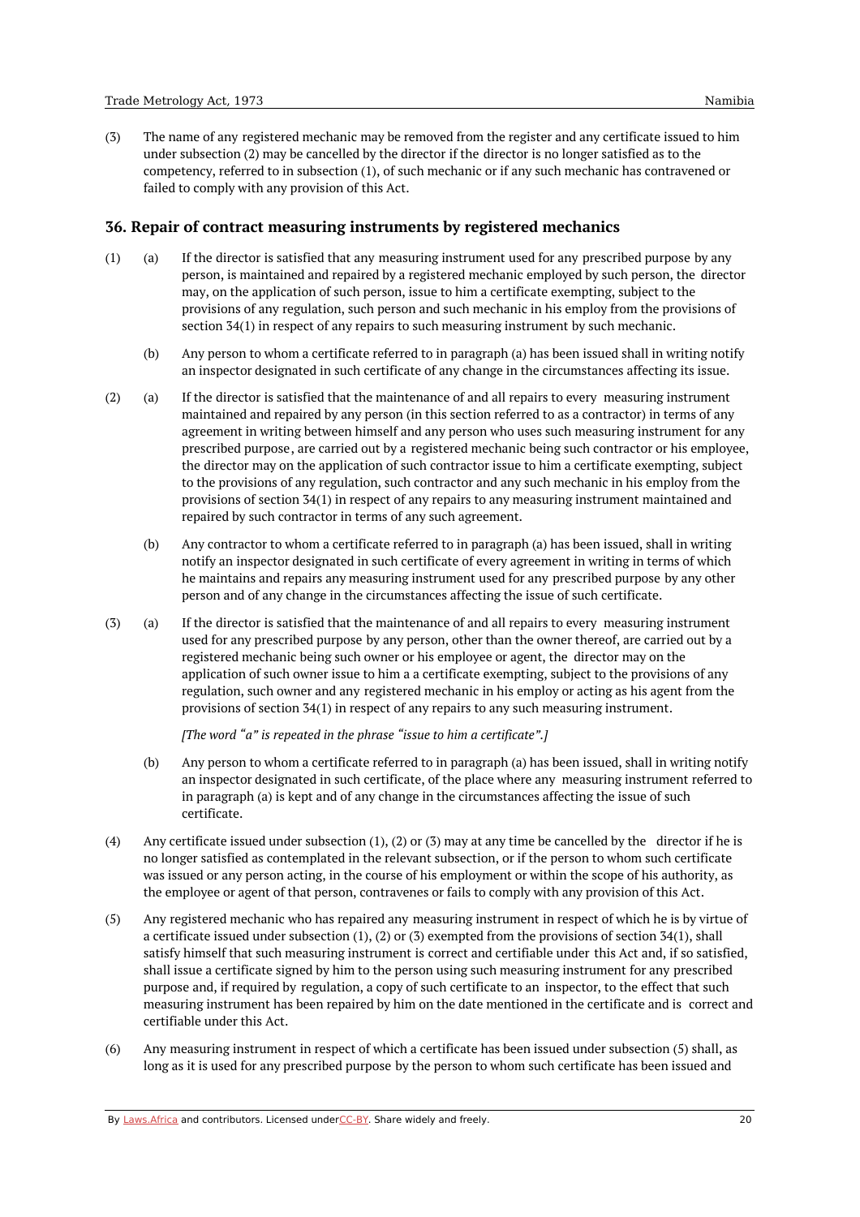(3) The name of any registered mechanic may be removed from the register and any certificate issued to him under subsection (2) may be cancelled by the director if the director is no longer satisfied as to the competency, referred to in subsection (1), of such mechanic or if any such mechanic has contravened or failed to comply with any provision of this Act.

### <span id="page-19-0"></span>**36. Repair of contract measuring instruments by registered mechanics**

- (a) (1) If the director is satisfied that any measuring instrument used for any prescribed purpose by any person, is maintained and repaired by a registered mechanic employed by such person, the director may, on the application of such person, issue to him a certificate exempting, subject to the provisions of any regulation, such person and such mechanic in his employ from the provisions of section 34(1) in respect of any repairs to such measuring instrument by such mechanic.
	- (b) Any person to whom a certificate referred to in paragraph (a) has been issued shall in writing notify an inspector designated in such certificate of any change in the circumstances affecting its issue.
- (a) (2) If the director is satisfied that the maintenance of and all repairs to every measuring instrument maintained and repaired by any person (in this section referred to as a contractor) in terms of any agreement in writing between himself and any person who uses such measuring instrument for any prescribed purpose, are carried out by a registered mechanic being such contractor or his employee, the director may on the application of such contractor issue to him a certificate exempting, subject to the provisions of any regulation, such contractor and any such mechanic in his employ from the provisions of section 34(1) in respect of any repairs to any measuring instrument maintained and repaired by such contractor in terms of any such agreement.
	- (b) Any contractor to whom a certificate referred to in paragraph (a) has been issued, shall in writing notify an inspector designated in such certificate of every agreement in writing in terms of which he maintains and repairs any measuring instrument used for any prescribed purpose by any other person and of any change in the circumstances affecting the issue of such certificate.
- (a) (3) If the director is satisfied that the maintenance of and all repairs to every measuring instrument used for any prescribed purpose by any person, other than the owner thereof, are carried out by a registered mechanic being such owner or his employee or agent, the director may on the application of such owner issue to him a a certificate exempting, subject to the provisions of any regulation, such owner and any registered mechanic in his employ or acting as his agent from the provisions of section 34(1) in respect of any repairs to any such measuring instrument.

*[The word "a" is repeated in the phrase "issue to him a certificate".]*

- (b) Any person to whom a certificate referred to in paragraph (a) has been issued, shall in writing notify an inspector designated in such certificate, of the place where any measuring instrument referred to in paragraph (a) is kept and of any change in the circumstances affecting the issue of such certificate.
- (4) Any certificate issued under subsection (1), (2) or (3) may at any time be cancelled by the director if he is no longer satisfied as contemplated in the relevant subsection, or if the person to whom such certificate was issued or any person acting, in the course of his employment or within the scope of his authority, as the employee or agent of that person, contravenes or fails to comply with any provision of this Act.
- (5) Any registered mechanic who has repaired any measuring instrument in respect of which he is by virtue of a certificate issued under subsection (1), (2) or (3) exempted from the provisions of section 34(1), shall satisfy himself that such measuring instrument is correct and certifiable under this Act and, if so satisfied, shall issue a certificate signed by him to the person using such measuring instrument for any prescribed purpose and, if required by regulation, a copy of such certificate to an inspector, to the effect that such measuring instrument has been repaired by him on the date mentioned in the certificate and is correct and certifiable under this Act.
- (6) Any measuring instrument in respect of which a certificate has been issued under subsection (5) shall, as long as it is used for any prescribed purpose by the person to whom such certificate has been issued and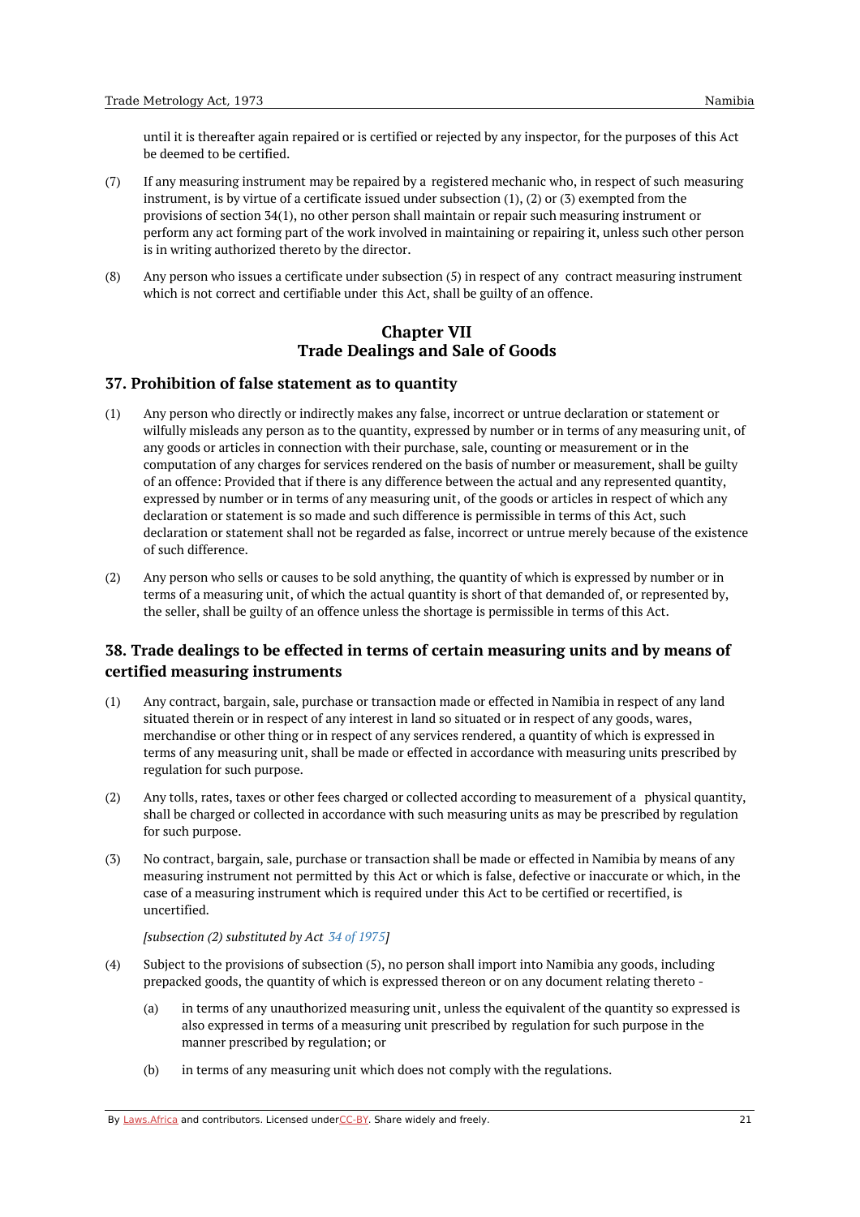until it is thereafter again repaired or is certified or rejected by any inspector, for the purposes of this Act be deemed to be certified.

- (7) If any measuring instrument may be repaired by a registered mechanic who, in respect of such measuring instrument, is by virtue of a certificate issued under subsection (1), (2) or (3) exempted from the provisions of section 34(1), no other person shall maintain or repair such measuring instrument or perform any act forming part of the work involved in maintaining or repairing it, unless such other person is in writing authorized thereto by the director.
- <span id="page-20-0"></span>(8) Any person who issues a certificate under subsection (5) in respect of any contract measuring instrument which is not correct and certifiable under this Act, shall be guilty of an offence.

# **Chapter VII Trade Dealings and Sale of Goods**

# <span id="page-20-1"></span>**37. Prohibition of false statement as to quantity**

- (1) Any person who directly or indirectly makes any false, incorrect or untrue declaration or statement or wilfully misleads any person as to the quantity, expressed by number or in terms of any measuring unit, of any goods or articles in connection with their purchase, sale, counting or measurement or in the computation of any charges for services rendered on the basis of number or measurement, shall be guilty of an offence: Provided that if there is any difference between the actual and any represented quantity, expressed by number or in terms of any measuring unit, of the goods or articles in respect of which any declaration or statement is so made and such difference is permissible in terms of this Act, such declaration or statement shall not be regarded as false, incorrect or untrue merely because of the existence of such difference.
- (2) Any person who sells or causes to be sold anything, the quantity of which is expressed by number or in terms of a measuring unit, of which the actual quantity is short of that demanded of, or represented by, the seller, shall be guilty of an offence unless the shortage is permissible in terms of this Act.

# <span id="page-20-2"></span>**38. Trade dealings to be effected in terms of certain measuring units and by means of certified measuring instruments**

- (1) Any contract, bargain, sale, purchase or transaction made or effected in Namibia in respect of any land situated therein or in respect of any interest in land so situated or in respect of any goods, wares, merchandise or other thing or in respect of any services rendered, a quantity of which is expressed in terms of any measuring unit, shall be made or effected in accordance with measuring units prescribed by regulation for such purpose.
- (2) Any tolls, rates, taxes or other fees charged or collected according to measurement of a physical quantity, shall be charged or collected in accordance with such measuring units as may be prescribed by regulation for such purpose.
- (3) No contract, bargain, sale, purchase or transaction shall be made or effected in Namibia by means of any measuring instrument not permitted by this Act or which is false, defective or inaccurate or which, in the case of a measuring instrument which is required under this Act to be certified or recertified, is uncertified.

*[subsection (2) substituted by Act 34 of [1975](https://namiblii.org/akn/na/act/1975/34)]*

- (4) Subject to the provisions of subsection (5), no person shall import into Namibia any goods, including prepacked goods, the quantity of which is expressed thereon or on any document relating thereto -
	- (a) in terms of any unauthorized measuring unit, unless the equivalent of the quantity so expressed is also expressed in terms of a measuring unit prescribed by regulation for such purpose in the manner prescribed by regulation; or
	- (b) in terms of any measuring unit which does not comply with the regulations.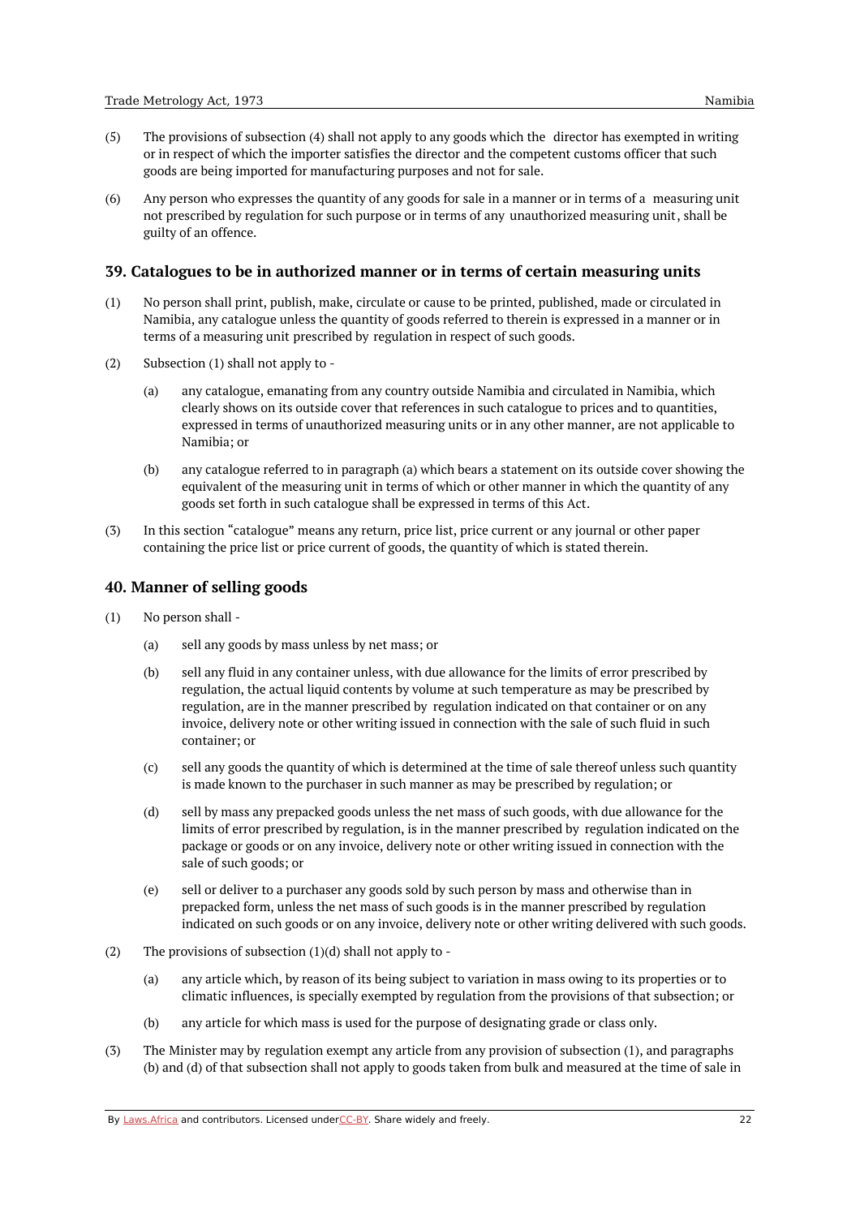(6) Any person who expresses the quantity of any goods for sale in a manner or in terms of a measuring unit not prescribed by regulation for such purpose or in terms of any unauthorized measuring unit, shall be guilty of an offence.

### <span id="page-21-0"></span>**39. Catalogues to be in authorized manner or in terms of certain measuring units**

- (1) No person shall print, publish, make, circulate or cause to be printed, published, made or circulated in Namibia, any catalogue unless the quantity of goods referred to therein is expressed in a manner or in terms of a measuring unit prescribed by regulation in respect of such goods.
- (2) Subsection (1) shall not apply to -
	- (a) any catalogue, emanating from any country outside Namibia and circulated in Namibia, which clearly shows on its outside cover that references in such catalogue to prices and to quantities, expressed in terms of unauthorized measuring units or in any other manner, are not applicable to Namibia; or
	- (b) any catalogue referred to in paragraph (a) which bears a statement on its outside cover showing the equivalent of the measuring unit in terms of which or other manner in which the quantity of any goods set forth in such catalogue shall be expressed in terms of this Act.
- (3) In this section "catalogue" means any return, price list, price current or any journal or other paper containing the price list or price current of goods, the quantity of which is stated therein.

### <span id="page-21-1"></span>**40. Manner of selling goods**

- (1) No person shall -
	- (a) sell any goods by mass unless by net mass; or
	- (b) sell any fluid in any container unless, with due allowance for the limits of error prescribed by regulation, the actual liquid contents by volume at such temperature as may be prescribed by regulation, are in the manner prescribed by regulation indicated on that container or on any invoice, delivery note or other writing issued in connection with the sale of such fluid in such container; or
	- (c) sell any goods the quantity of which is determined at the time of sale thereof unless such quantity is made known to the purchaser in such manner as may be prescribed by regulation; or
	- (d) sell by mass any prepacked goods unless the net mass of such goods, with due allowance for the limits of error prescribed by regulation, is in the manner prescribed by regulation indicated on the package or goods or on any invoice, delivery note or other writing issued in connection with the sale of such goods; or
	- (e) sell or deliver to a purchaser any goods sold by such person by mass and otherwise than in prepacked form, unless the net mass of such goods is in the manner prescribed by regulation indicated on such goods or on any invoice, delivery note or other writing delivered with such goods.
- (2) The provisions of subsection  $(1)(d)$  shall not apply to -
	- (a) any article which, by reason of its being subject to variation in mass owing to its properties or to climatic influences, is specially exempted by regulation from the provisions of that subsection; or
	- (b) any article for which mass is used for the purpose of designating grade or class only.
- (3) The Minister may by regulation exempt any article from any provision of subsection (1), and paragraphs (b) and (d) of that subsection shall not apply to goods taken from bulk and measured at the time of sale in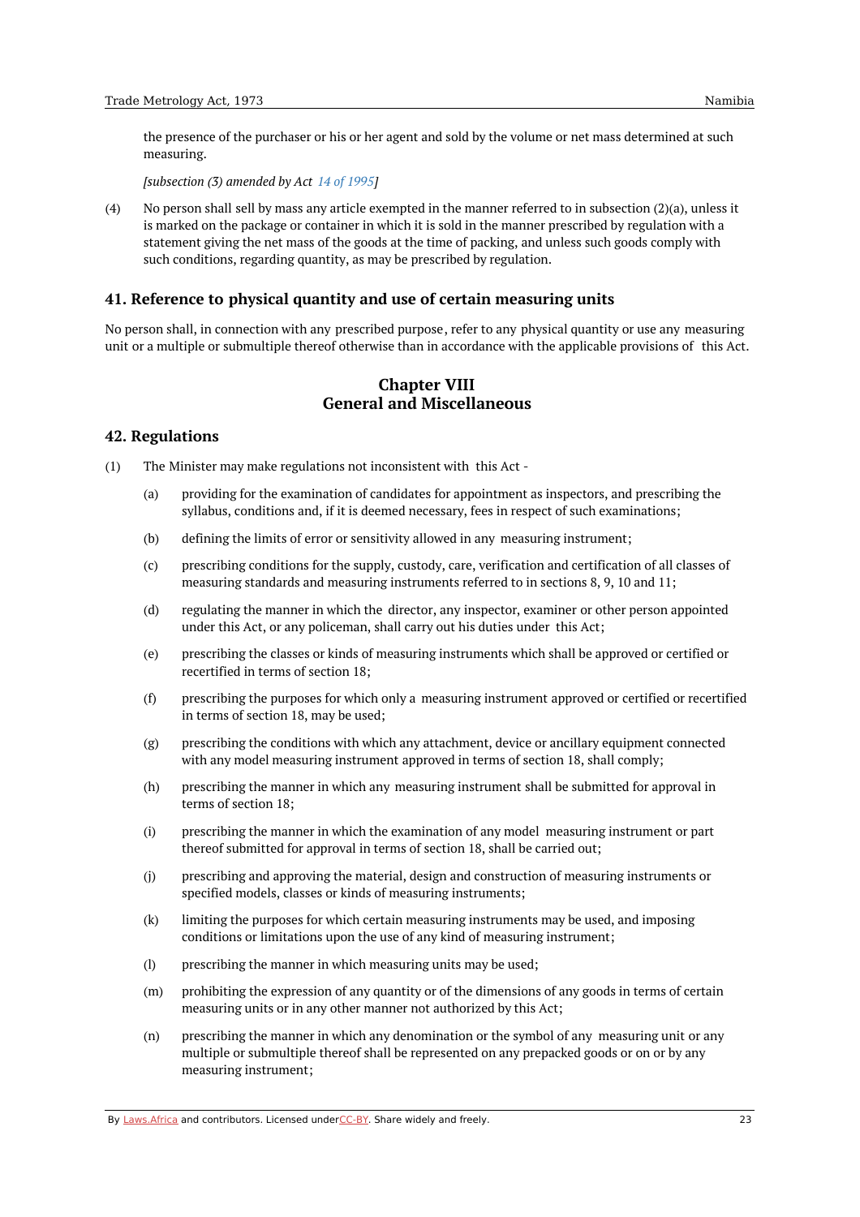the presence of the purchaser or his or her agent and sold by the volume or net mass determined at such measuring.

*[subsection (3) amended by Act 14 of [1995](https://namiblii.org/akn/na/act/1995/14)]*

(4) No person shall sell by mass any article exempted in the manner referred to in subsection (2)(a), unless it is marked on the package or container in which it is sold in the manner prescribed by regulation with a statement giving the net mass of the goods at the time of packing, and unless such goods comply with such conditions, regarding quantity, as may be prescribed by regulation.

### <span id="page-22-0"></span>**41. Reference to physical quantity and use of certain measuring units**

<span id="page-22-1"></span>No person shall, in connection with any prescribed purpose, refer to any physical quantity or use any measuring unit or a multiple or submultiple thereof otherwise than in accordance with the applicable provisions of this Act.

# **Chapter VIII General and Miscellaneous**

### <span id="page-22-2"></span>**42. Regulations**

(1) The Minister may make regulations not inconsistent with this Act -

- (a) providing for the examination of candidates for appointment as inspectors, and prescribing the syllabus, conditions and, if it is deemed necessary, fees in respect of such examinations;
- (b) defining the limits of error or sensitivity allowed in any measuring instrument;
- (c) prescribing conditions for the supply, custody, care, verification and certification of all classes of measuring standards and measuring instruments referred to in sections 8, 9, 10 and 11;
- (d) regulating the manner in which the director, any inspector, examiner or other person appointed under this Act, or any policeman, shall carry out his duties under this Act;
- (e) prescribing the classes or kinds of measuring instruments which shall be approved or certified or recertified in terms of section 18;
- (f) prescribing the purposes for which only a measuring instrument approved or certified or recertified in terms of section 18, may be used;
- (g) prescribing the conditions with which any attachment, device or ancillary equipment connected with any model measuring instrument approved in terms of section 18, shall comply;
- (h) prescribing the manner in which any measuring instrument shall be submitted for approval in terms of section 18;
- (i) prescribing the manner in which the examination of any model measuring instrument or part thereof submitted for approval in terms of section 18, shall be carried out;
- (j) prescribing and approving the material, design and construction of measuring instruments or specified models, classes or kinds of measuring instruments;
- (k) limiting the purposes for which certain measuring instruments may be used, and imposing conditions or limitations upon the use of any kind of measuring instrument;
- (l) prescribing the manner in which measuring units may be used;
- (m) prohibiting the expression of any quantity or of the dimensions of any goods in terms of certain measuring units or in any other manner not authorized by this Act;
- (n) prescribing the manner in which any denomination or the symbol of any measuring unit or any multiple or submultiple thereof shall be represented on any prepacked goods or on or by any measuring instrument;

By [Laws.Africa](https://edit.laws.africa/widgets/pdf-attribution) and contributors. Licensed und[erCC-B](https://edit.laws.africa/widgets/pdf-cc-by)Y. Share widely and freely.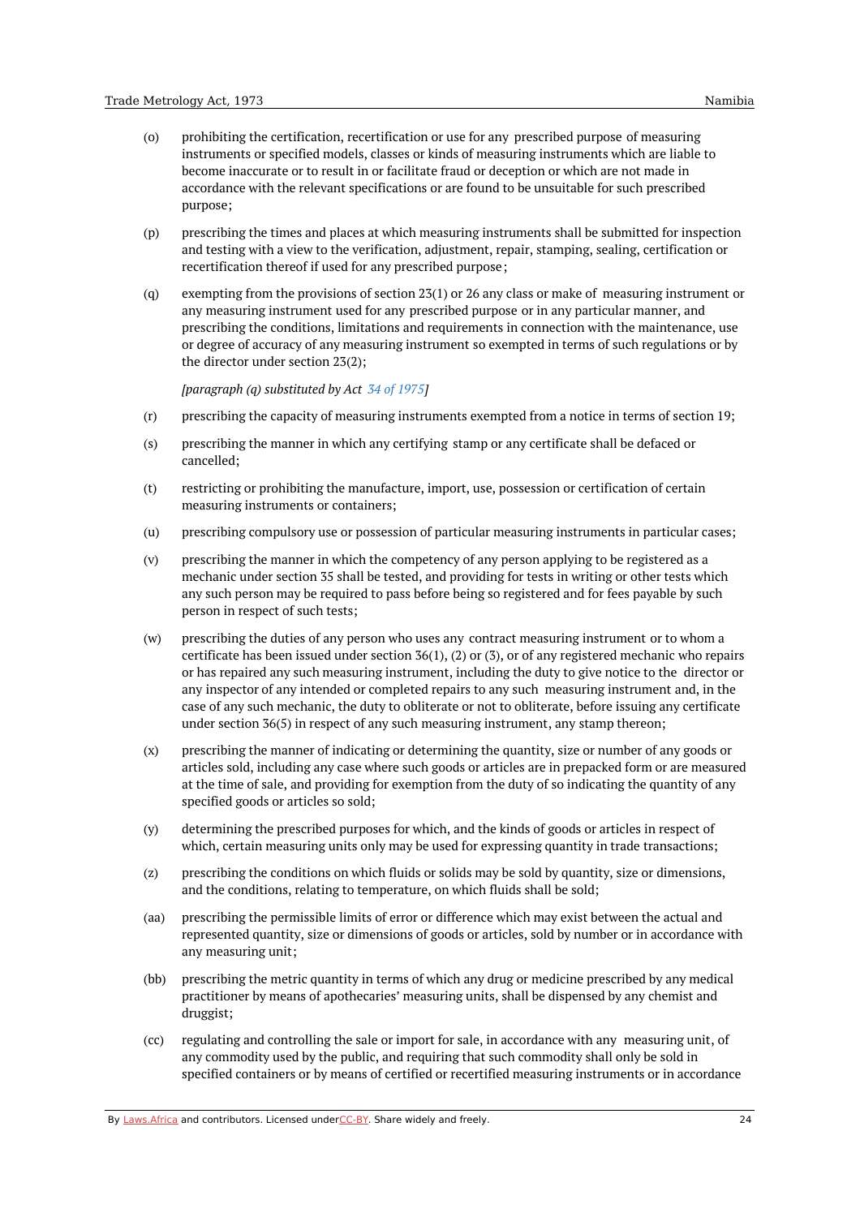- (o) prohibiting the certification, recertification or use for any prescribed purpose of measuring instruments or specified models, classes or kinds of measuring instruments which are liable to become inaccurate or to result in or facilitate fraud or deception or which are not made in accordance with the relevant specifications or are found to be unsuitable for such prescribed purpose;
- (p) prescribing the times and places at which measuring instruments shall be submitted for inspection and testing with a view to the verification, adjustment, repair, stamping, sealing, certification or recertification thereof if used for any prescribed purpose;
- (q) exempting from the provisions of section 23(1) or 26 any class or make of measuring instrument or any measuring instrument used for any prescribed purpose or in any particular manner, and prescribing the conditions, limitations and requirements in connection with the maintenance, use or degree of accuracy of any measuring instrument so exempted in terms of such regulations or by the director under section 23(2);

*[paragraph (q) substituted by Act 34 of [1975](https://namiblii.org/akn/na/act/1975/34)]*

- (r) prescribing the capacity of measuring instruments exempted from a notice in terms of section 19;
- (s) prescribing the manner in which any certifying stamp or any certificate shall be defaced or cancelled;
- (t) restricting or prohibiting the manufacture, import, use, possession or certification of certain measuring instruments or containers;
- $(11)$ prescribing compulsory use or possession of particular measuring instruments in particular cases;
- (v) prescribing the manner in which the competency of any person applying to be registered as a mechanic under section 35 shall be tested, and providing for tests in writing or other tests which any such person may be required to pass before being so registered and for fees payable by such person in respect of such tests;
- (w) prescribing the duties of any person who uses any contract measuring instrument or to whom a certificate has been issued under section 36(1), (2) or (3), or of any registered mechanic who repairs or has repaired any such measuring instrument, including the duty to give notice to the director or any inspector of any intended or completed repairs to any such measuring instrument and, in the case of any such mechanic, the duty to obliterate or not to obliterate, before issuing any certificate under section 36(5) in respect of any such measuring instrument, any stamp thereon;
- (x) prescribing the manner of indicating or determining the quantity, size or number of any goods or articles sold, including any case where such goods or articles are in prepacked form or are measured at the time of sale, and providing for exemption from the duty of so indicating the quantity of any specified goods or articles so sold;
- (y) determining the prescribed purposes for which, and the kinds of goods or articles in respect of which, certain measuring units only may be used for expressing quantity in trade transactions;
- (z) prescribing the conditions on which fluids or solids may be sold by quantity, size or dimensions, and the conditions, relating to temperature, on which fluids shall be sold;
- (aa) prescribing the permissible limits of error or difference which may exist between the actual and represented quantity, size or dimensions of goods or articles, sold by number or in accordance with any measuring unit;
- (bb) prescribing the metric quantity in terms of which any drug or medicine prescribed by any medical practitioner by means of apothecaries' measuring units, shall be dispensed by any chemist and druggist;
- $(cc)$ regulating and controlling the sale or import for sale, in accordance with any measuring unit, of any commodity used by the public, and requiring that such commodity shall only be sold in specified containers or by means of certified or recertified measuring instruments or in accordance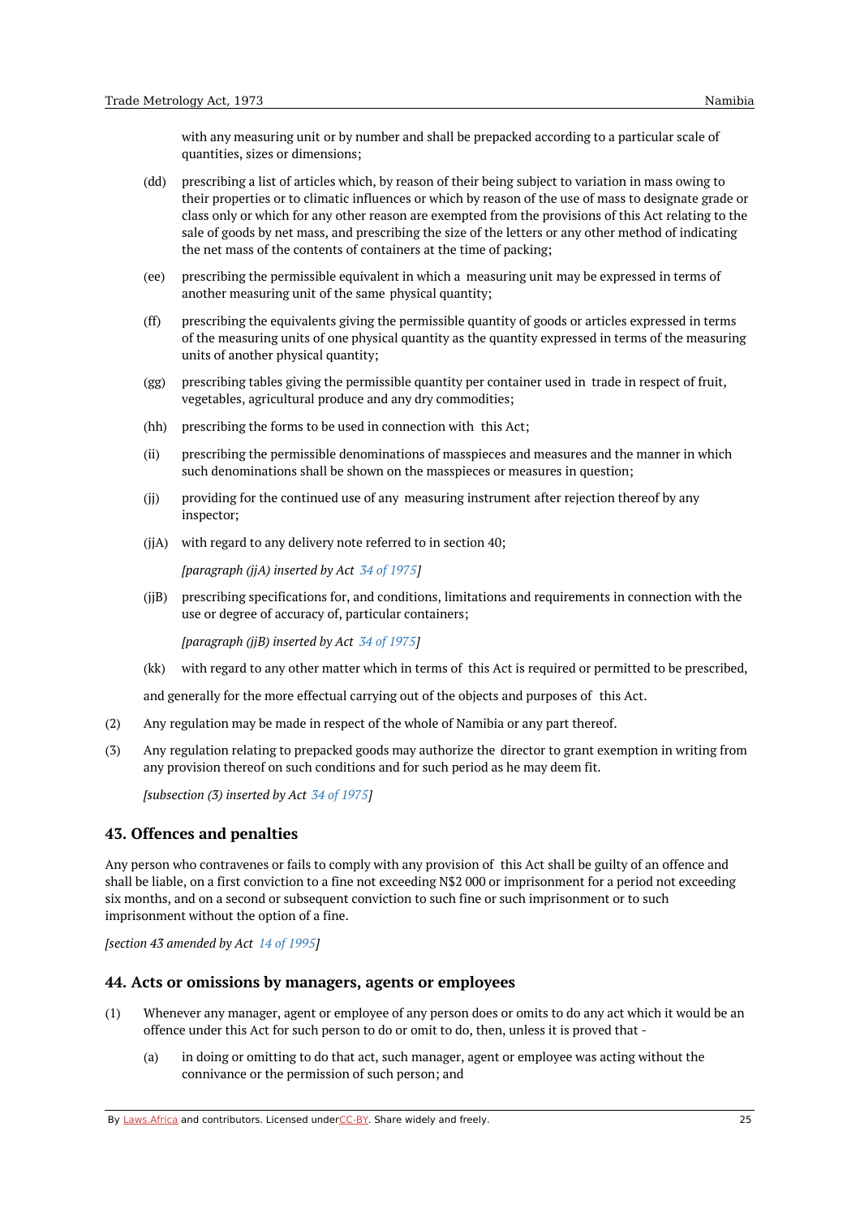with any measuring unit or by number and shall be prepacked according to a particular scale of quantities, sizes or dimensions;

- (dd) prescribing a list of articles which, by reason of their being subject to variation in mass owing to their properties or to climatic influences or which by reason of the use of mass to designate grade or class only or which for any other reason are exempted from the provisions of this Act relating to the sale of goods by net mass, and prescribing the size of the letters or any other method of indicating the net mass of the contents of containers at the time of packing;
- (ee) prescribing the permissible equivalent in which a measuring unit may be expressed in terms of another measuring unit of the same physical quantity;
- (ff) prescribing the equivalents giving the permissible quantity of goods or articles expressed in terms of the measuring units of one physical quantity as the quantity expressed in terms of the measuring units of another physical quantity;
- (gg) prescribing tables giving the permissible quantity per container used in trade in respect of fruit, vegetables, agricultural produce and any dry commodities;
- (hh) prescribing the forms to be used in connection with this Act;
- (ii) prescribing the permissible denominations of masspieces and measures and the manner in which such denominations shall be shown on the masspieces or measures in question;
- $(i)$ providing for the continued use of any measuring instrument after rejection thereof by any inspector;
- (jjA) with regard to any delivery note referred to in section 40;

*[paragraph (jjA) inserted by Act 34 of [1975](https://namiblii.org/akn/na/act/1975/34)]*

(jjB) prescribing specifications for, and conditions, limitations and requirements in connection with the use or degree of accuracy of, particular containers;

*[paragraph (jjB) inserted by Act 34 of [1975](https://namiblii.org/akn/na/act/1975/34)]*

 $(kk)$ with regard to any other matter which in terms of this Act is required or permitted to be prescribed,

and generally for the more effectual carrying out of the objects and purposes of this Act.

- (2) Any regulation may be made in respect of the whole of Namibia or any part thereof.
- (3) Any regulation relating to prepacked goods may authorize the director to grant exemption in writing from any provision thereof on such conditions and for such period as he may deem fit.

*[subsection (3) inserted by Act 34 of [1975](https://namiblii.org/akn/na/act/1975/34)]*

#### <span id="page-24-0"></span>**43. Offences and penalties**

Any person who contravenes or fails to comply with any provision of this Act shall be guilty of an offence and shall be liable, on a first conviction to a fine not exceeding N\$2 000 or imprisonment for a period not exceeding six months, and on a second or subsequent conviction to such fine or such imprisonment or to such imprisonment without the option of a fine.

*[section 43 amended by Act 14 of [1995](https://namiblii.org/akn/na/act/1995/14)]*

#### <span id="page-24-1"></span>**44. Acts or omissions by managers, agents or employees**

- (1) Whenever any manager, agent or employee of any person does or omits to do any act which it would be an offence under this Act for such person to do or omit to do, then, unless it is proved that -
	- (a) in doing or omitting to do that act, such manager, agent or employee was acting without the connivance or the permission of such person; and

By [Laws.Africa](https://edit.laws.africa/widgets/pdf-attribution) and contributors. Licensed und[erCC-B](https://edit.laws.africa/widgets/pdf-cc-by)Y. Share widely and freely.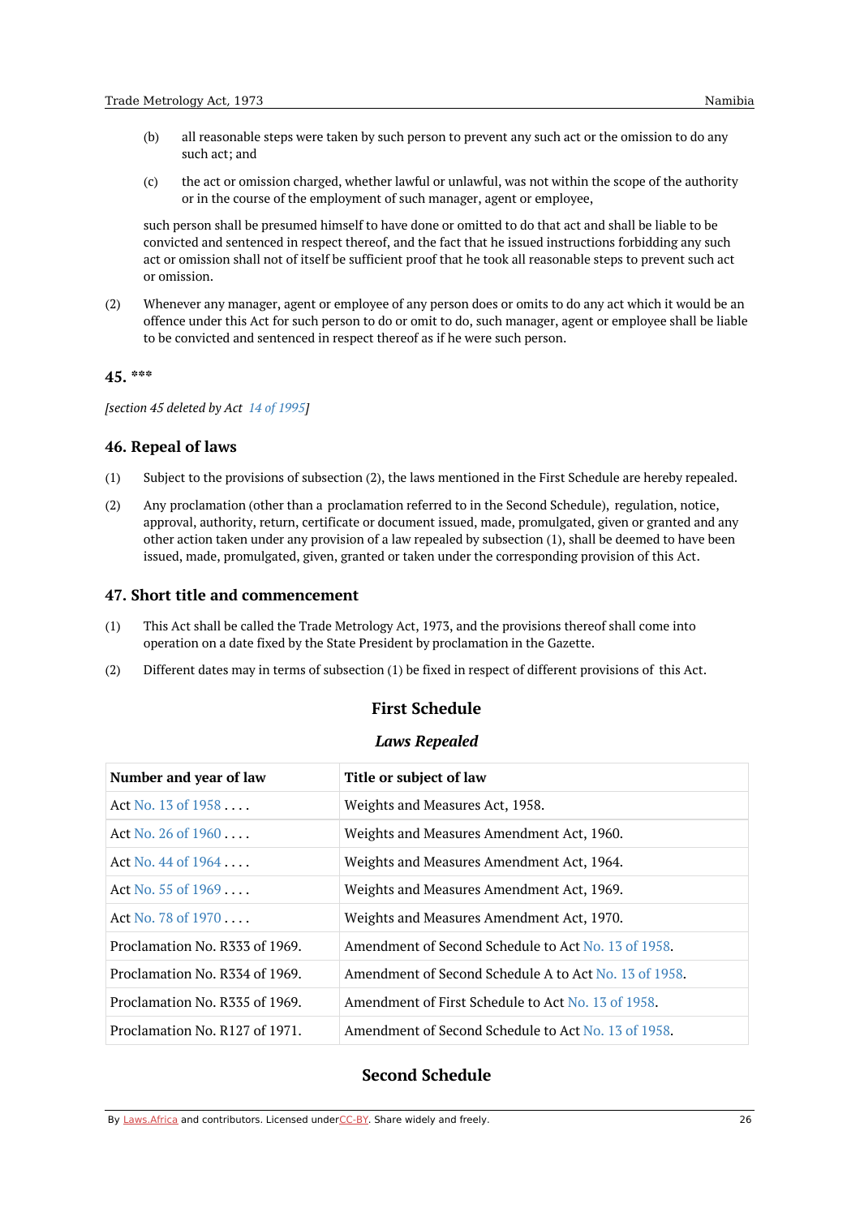- (b) all reasonable steps were taken by such person to prevent any such act or the omission to do any such act; and
- (c) the act or omission charged, whether lawful or unlawful, was not within the scope of the authority or in the course of the employment of such manager, agent or employee,

such person shall be presumed himself to have done or omitted to do that act and shall be liable to be convicted and sentenced in respect thereof, and the fact that he issued instructions forbidding any such act or omission shall not of itself be sufficient proof that he took all reasonable steps to prevent such act or omission.

(2) Whenever any manager, agent or employee of any person does or omits to do any act which it would be an offence under this Act for such person to do or omit to do, such manager, agent or employee shall be liable to be convicted and sentenced in respect thereof as if he were such person.

### <span id="page-25-0"></span>**45. \*\*\***

*[section 45 deleted by Act 14 of [1995](https://namiblii.org/akn/na/act/1995/14)]*

#### <span id="page-25-1"></span>**46. Repeal of laws**

- (1) Subject to the provisions of subsection (2), the laws mentioned in the First Schedule are hereby repealed.
- (2) Any proclamation (other than a proclamation referred to in the Second Schedule), regulation, notice, approval, authority, return, certificate or document issued, made, promulgated, given or granted and any other action taken under any provision of a law repealed by subsection (1), shall be deemed to have been issued, made, promulgated, given, granted or taken under the corresponding provision of this Act.

### <span id="page-25-2"></span>**47. Short title and commencement**

- (1) This Act shall be called the Trade Metrology Act, 1973, and the provisions thereof shall come into operation on a date fixed by the State President by proclamation in the Gazette.
- <span id="page-25-3"></span>(2) Different dates may in terms of subsection (1) be fixed in respect of different provisions of this Act.

# **First Schedule**

#### *Laws Repealed*

<span id="page-25-4"></span>

| Number and year of law         | Title or subject of law                              |
|--------------------------------|------------------------------------------------------|
| Act No. $13$ of $1958$         | Weights and Measures Act, 1958.                      |
| Act No. 26 of $1960$           | Weights and Measures Amendment Act, 1960.            |
| Act No. $44$ of $1964$         | Weights and Measures Amendment Act, 1964.            |
| Act No. $55$ of $1969$         | Weights and Measures Amendment Act, 1969.            |
| Act No. 78 of 1970             | Weights and Measures Amendment Act, 1970.            |
| Proclamation No. R333 of 1969. | Amendment of Second Schedule to Act No. 13 of 1958.  |
| Proclamation No. R334 of 1969. | Amendment of Second Schedule A to Act No. 13 of 1958 |
| Proclamation No. R335 of 1969. | Amendment of First Schedule to Act No. 13 of 1958.   |
| Proclamation No. R127 of 1971. | Amendment of Second Schedule to Act No. 13 of 1958.  |

# <span id="page-25-5"></span>**Second Schedule**